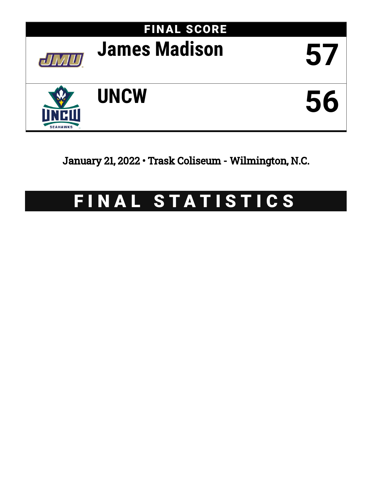

January 21, 2022 • Trask Coliseum - Wilmington, N.C.

# FINAL STATISTICS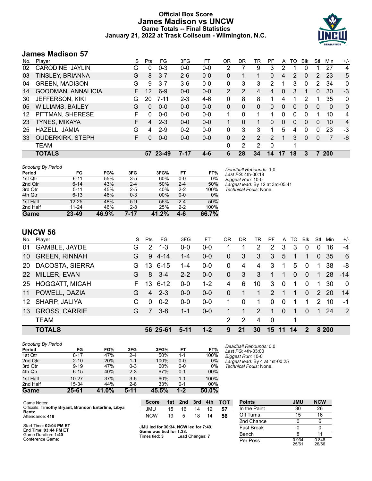# **Official Box Score James Madison vs UNCW Game Totals -- Final Statistics January 21, 2022 at Trask Coliseum - Wilmington, N.C.**



# **James Madison 57**

| No. | Plaver                  | S  | <b>Pts</b> | FG        | 3FG      | FТ      | OR             | DR | TR             | PF             | A        | TO             | <b>Blk</b> | Stl | Min            | $+/-$        |
|-----|-------------------------|----|------------|-----------|----------|---------|----------------|----|----------------|----------------|----------|----------------|------------|-----|----------------|--------------|
| 02  | CARODINE, JAYLIN        | G  | 0          | $0 - 3$   | $0 - 0$  | $0-0$   | 2              |    | 9              | 3              | 2        |                |            |     | 27             | 4            |
| 03  | <b>TINSLEY, BRIANNA</b> | G  | 8          | $3 - 7$   | $2-6$    | $0 - 0$ | 0              |    |                | 0              | 4        | $\overline{2}$ | 0          | 2   | 23             | 5            |
| 04  | <b>GREEN, MADISON</b>   | G  | 9          | 3-7       | $3-6$    | $0-0$   | 0              | 3  | 3              | 2              |          | 3              | 0          | 2   | 34             | 0            |
| 14  | GOODMAN, ANNALICIA      | F. | 12         | $6-9$     | $0 - 0$  | $0 - 0$ | $\overline{2}$ | 2  | 4              | $\overline{4}$ | 0        | 3              |            | 0   | 30             | $-3$         |
| 30  | <b>JEFFERSON, KIKI</b>  | G  | 20         | $7 - 11$  | $2 - 3$  | $4-6$   | $\Omega$       | 8  | 8              |                | 4        | 1              | 2          |     | 35             | $\mathbf{0}$ |
| 05  | <b>WILLIAMS, BAILEY</b> | G  | 0          | $0 - 0$   | $0 - 0$  | $0 - 0$ | $\Omega$       | 0  | $\Omega$       | $\Omega$       | $\Omega$ | 0              | $\Omega$   | 0   | $\Omega$       | $\mathbf{0}$ |
| 12  | PITTMAN, SHERESE        | F  | 0          | $0 - 0$   | $0 - 0$  | $0 - 0$ | 1.             | 0  |                |                | 0        | 0              | 0          |     | 10             | 4            |
| 23  | <b>TYNES, MIKAYA</b>    |    | 4          | $2 - 3$   | $0 - 0$  | $0 - 0$ |                | 0  |                | 0              | 0        | 0              | $\Omega$   | 0   | 10             | 4            |
| 25  | HAZELL, JAMIA           | G  | 4          | $2 - 9$   | $0 - 2$  | $0 - 0$ | 0              | 3  | 3              |                | 5        | 4              | 0          | 0   | 23             | -3           |
| 33  | <b>OUDERKIRK, STEPH</b> | F. | 0          | $0 - 0$   | $0 - 0$  | $0 - 0$ | 0              | 2  | $\overline{2}$ | $\mathcal{P}$  | 1        | 3              | $\Omega$   | 0   | $\overline{7}$ | -6           |
|     | TEAM                    |    |            |           |          |         | 0              | 2  | 2              | $\mathbf 0$    |          |                |            |     |                |              |
|     | <b>TOTALS</b>           |    | 57         | $23 - 49$ | $7 - 17$ | 4-6     | 6              | 28 | 34             | 14             | 17       | 18             | 3          |     | <b>200</b>     |              |

| <b>Shooting By Period</b> |           |       |         |       |         |       |
|---------------------------|-----------|-------|---------|-------|---------|-------|
| Period                    | FG        | FG%   | 3FG     | 3FG%  | FT      | FT%   |
| 1st Qtr                   | $6 - 11$  | 55%   | $3-5$   | 60%   | $0 - 0$ | 0%    |
| 2nd Qtr                   | $6 - 14$  | 43%   | $2 - 4$ | 50%   | $2 - 4$ | 50%   |
| 3rd Qtr                   | $5 - 11$  | 45%   | $2 - 5$ | 40%   | $2 - 2$ | 100%  |
| 4th Qtr                   | $6 - 13$  | 46%   | $0 - 3$ | 00%   | $0 - 0$ | $0\%$ |
| 1st Half                  | $12 - 25$ | 48%   | $5-9$   | 56%   | $2 - 4$ | 50%   |
| 2nd Half                  | $11 - 24$ | 46%   | $2 - 8$ | 25%   | $2 - 2$ | 100%  |
| Game                      | 23-49     | 46.9% | 7-17    | 41.2% | 4-6     | 66.7% |

*Deadball Rebounds:* 1,0 *Last FG:* 4th-00:18 *Biggest Run:* 10-0 *Largest lead:* By 12 at 3rd-05:41 *Technical Fouls:* None.

# **UNCW 56**

| No.             | Player                | S  | Pts            | FG       | 3FG     | FТ      | 0 <sub>R</sub> | DR.      | TR            | PF            | A        | TO.      | <b>BIK</b>  | Stl           | Min   | $+/-$    |
|-----------------|-----------------------|----|----------------|----------|---------|---------|----------------|----------|---------------|---------------|----------|----------|-------------|---------------|-------|----------|
| 01              | GAMBLE, JAYDE         | G  | 2              | $1 - 3$  | 0-0     | 0-0     |                |          | 2             | 2             | 3        | 3        |             | 0             | 16    | $-4$     |
| 10              | <b>GREEN, RINNAH</b>  | G  | 9              | 4-14     | 1-4     | $0 - 0$ | $\Omega$       | 3        | 3             | 3             | 5        | 1        |             | $\Omega$      | 35    | 6        |
| <b>20</b>       | DACOSTA, SIERRA       | G  | 13             | $6 - 15$ | $1 - 4$ | $0-0$   | 0              | 4        | 4             | 3             | 1        | 5        | $\mathbf 0$ | 1             | 38    | -8       |
| <b>22</b>       | MILLER, EVAN          | G  | 8              | $3 - 4$  | $2 - 2$ | $0 - 0$ | $\Omega$       | 3        | 3             | 1             | 1        | $\Omega$ | $\Omega$    | 1             | 28    | $-14$    |
| 25              | <b>HOGGATT, MICAH</b> | F. | 13             | $6 - 12$ | $0 - 0$ | $1 - 2$ | 4              | 6        | 10            | 3             | $\Omega$ | 1        | $\Omega$    | 1             | 30    | $\Omega$ |
| 11              | POWELL, DAZIA         | G  | $\overline{4}$ | $2 - 3$  | $0 - 0$ | $0 - 0$ | 0              |          |               | $\mathcal{P}$ |          | 1        | $\Omega$    | $\mathcal{P}$ | 20    | 14       |
| 12 <sup>1</sup> | SHARP, JALIYA         | C  | $\Omega$       | $0 - 2$  | $0 - 0$ | $0-0$   | 1              | $\Omega$ |               | $\Omega$      | 0        | 1        |             | 2             | 10    | -1       |
| 13              | <b>GROSS, CARRIE</b>  | G  | 7              | $3 - 8$  | 1-1     | $0 - 0$ |                |          | $\mathcal{P}$ |               | $\Omega$ | 1        | $\Omega$    | 1             | -24   | 2        |
|                 | <b>TEAM</b>           |    |                |          |         |         | $\mathcal{P}$  | 2        | 4             | $\mathbf 0$   |          | 1        |             |               |       |          |
|                 | <b>TOTALS</b>         |    |                | 56 25-61 | $5-11$  | $1 - 2$ | 9              | 21       | 30            | 15            | 11       | 14       | 2           |               | 8 200 |          |

| <b>Shooting By Period</b> |           |       |         |       |         |       |
|---------------------------|-----------|-------|---------|-------|---------|-------|
| Period                    | FG        | FG%   | 3FG     | 3FG%  | FT      | FT%   |
| 1st Qtr                   | $8 - 17$  | 47%   | $2 - 4$ | 50%   | 1-1     | 100%  |
| 2nd Qtr                   | $2 - 10$  | 20%   | $1 - 1$ | 100%  | $0 - 0$ | 0%    |
| 3rd Qtr                   | $9 - 19$  | 47%   | $0 - 3$ | 00%   | $0 - 0$ | 0%    |
| 4th Qtr                   | $6 - 15$  | 40%   | $2 - 3$ | 67%   | $0 - 1$ | 00%   |
| 1st Half                  | $10 - 27$ | 37%   | $3 - 5$ | 60%   | $1 - 1$ | 100%  |
| 2nd Half                  | 15-34     | 44%   | $2-6$   | 33%   | $0 - 1$ | 00%   |
| Game                      | 25-61     | 41.0% | $5-11$  | 45.5% | $1 - 2$ | 50.0% |

*Deadball Rebounds:* 0,0 *Last FG:* 4th-03:00 *Biggest Run:* 10-0 *Largest lead:* By 4 at 1st-00:25 *Technical Fouls:* None.

| Game Notes:                                         |
|-----------------------------------------------------|
| Officials: Timothy Bryant, Brandon Enterline, Libya |
| Rentz                                               |
| Attendance: 418                                     |

| Start Time: 02:04 PM ET |
|-------------------------|
| End Time: 03:44 PM ET   |
| Game Duration: 1:40     |
| Conference Game;        |

| <b>Score</b> |    | 1st 2nd 3rd 4th |    |    | <b>TOT</b> |
|--------------|----|-----------------|----|----|------------|
| JMU.         | 15 | 16              | 14 | 12 | 57         |
| NCW          | 19 | 5               | 18 | 14 | 56         |

| JMU led for 30:34. NCW led for 7:49. |                 |
|--------------------------------------|-----------------|
| Game was tied for 1:38.              |                 |
| Times tied: 3                        | Lead Changes: 7 |

| <b>Points</b>     | <b>JMU</b>     | <b>NCW</b>     |
|-------------------|----------------|----------------|
| In the Paint      | 30             | 26             |
| Off Turns         | 15             | 16             |
| 2nd Chance        | 0              | 6              |
| <b>Fast Break</b> | ი              |                |
| Bench             | 8              | 11             |
| Per Poss          | 0.934<br>25/61 | 0.848<br>26/66 |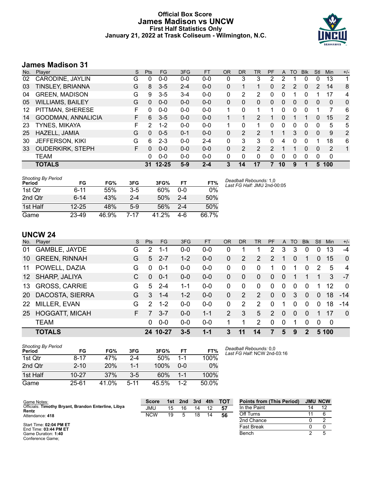# **Official Box Score James Madison vs UNCW First Half Statistics Only January 21, 2022 at Trask Coliseum - Wilmington, N.C.**



# **James Madison 31**

| No. | Plaver                  | S  | <b>Pts</b> | FG        | 3FG     | <b>FT</b> | <b>OR</b> | <b>DR</b> | TR             | PF            | A  | TO | <b>Blk</b> | Stl      | <b>Min</b> | $+/-$          |
|-----|-------------------------|----|------------|-----------|---------|-----------|-----------|-----------|----------------|---------------|----|----|------------|----------|------------|----------------|
| 02  | CARODINE, JAYLIN        | G  | 0          | $0 - 0$   | $0 - 0$ | $0 - 0$   | 0         | 3         | 3              | 2             | 2  |    |            | 0        | 13         | 1              |
| 03  | TINSLEY, BRIANNA        | G  | 8          | $3 - 5$   | $2 - 4$ | $0 - 0$   | 0         |           |                | 0             | 2  | 2  | 0          | 2        | 14         | 8              |
| 04  | <b>GREEN, MADISON</b>   | G  | 9          | $3 - 5$   | $3 - 4$ | $0 - 0$   | 0         | 2         | 2              | 0             | 0  |    |            |          | 17         | 4              |
| 05  | <b>WILLIAMS, BAILEY</b> | G  | 0          | $0 - 0$   | $0 - 0$ | $0 - 0$   | 0         | 0         | 0              | 0             | 0  | 0  | 0          | 0        | 0          | 0              |
| 12  | PITTMAN, SHERESE        | F. | 0          | $0 - 0$   | $0 - 0$ | $0-0$     |           | 0         |                |               | 0  | 0  |            |          | 7          | 6              |
| 14  | GOODMAN, ANNALICIA      | F. | 6          | $3 - 5$   | $0 - 0$ | $0 - 0$   |           |           | 2              | 1             | 0  |    |            | 0        | 15         | $\overline{2}$ |
| 23  | TYNES, MIKAYA           | F. | 2          | $1 - 2$   | $0 - 0$ | $0 - 0$   |           | 0         | 1              | 0             | 0  | 0  | $\Omega$   | $\Omega$ | 5          | 5              |
| 25  | HAZELL, JAMIA           | G  | 0          | $0 - 5$   | $0 - 1$ | $0 - 0$   | 0         | 2         | $\overline{2}$ | 1             |    | 3  | $\Omega$   | 0        | 9          | 2              |
| 30  | <b>JEFFERSON, KIKI</b>  | G  | 6          | $2 - 3$   | $0 - 0$ | $2 - 4$   | 0         | 3         | 3              | 0             | 4  | 0  | $\Omega$   | 1        | 18         | 6              |
| 33  | <b>OUDERKIRK, STEPH</b> | F. | 0          | $0 - 0$   | $0 - 0$ | $0 - 0$   | 0         | 2         | $\overline{2}$ | $\mathcal{L}$ |    | 1  | $\Omega$   | $\Omega$ | 2          | 1              |
|     | <b>TEAM</b>             |    | 0          | $0 - 0$   | $0 - 0$ | $0 - 0$   | 0         | 0         | 0              | 0             | 0  | 0  | $\Omega$   | 0        | 0          |                |
|     | <b>TOTALS</b>           |    | 31         | $12 - 25$ | $5-9$   | $2 - 4$   | 3         | 14        | 17             | 7             | 10 | 9  |            | 5        | 100        |                |

| <b>Shooting By Period</b><br>Period | FG        | FG%   | 3FG   | 3FG%  | FТ      | FT%   |
|-------------------------------------|-----------|-------|-------|-------|---------|-------|
| 1st Otr                             | 6-11      | 55%   | 3-5   | 60%   | 0-0     | 0%    |
| 2nd Otr                             | $6-14$    | 43%   | 2-4   | 50%   | $2 - 4$ | 50%   |
| 1st Half                            | $12 - 25$ | 48%   | $5-9$ | .56%  | $2 - 4$ | 50%   |
| Game                                | 23-49     | 46.9% | 7-17  | 41.2% | 4-6     | 66.7% |

*Deadball Rebounds:* 1,0 *Last FG Half:* JMU 2nd-00:05

# **UNCW 24**

| No.             | Player                | S. | <b>Pts</b>    | <b>FG</b> | 3FG     | FT      | <b>OR</b> | <b>DR</b> | TR             | <b>PF</b>      | A              | TO       | <b>B</b> lk | Stl      | Min   | $+/-$          |
|-----------------|-----------------------|----|---------------|-----------|---------|---------|-----------|-----------|----------------|----------------|----------------|----------|-------------|----------|-------|----------------|
| 01              | GAMBLE, JAYDE         | G  | 2             | 1-1       | $0 - 0$ | $0-0$   | 0         |           |                | 2              | 3              | 3        |             | 0        | 13    | $-4$           |
| 10              | <b>GREEN, RINNAH</b>  | G  | 5             | $2 - 7$   | $1 - 2$ | $0-0$   | 0         | 2         | $\mathcal{P}$  | $\mathcal{P}$  | 1              | 0        |             | 0        | 15    | $\overline{0}$ |
| 11              | POWELL, DAZIA         | G  | $\Omega$      | $0 - 1$   | $0 - 0$ | $0 - 0$ | 0         | $\Omega$  | $\Omega$       |                | 0              | 1        | $\Omega$    | 2        | 5     | $\overline{4}$ |
| 12 <sup>1</sup> | SHARP, JALIYA         | C  | $\Omega$      | $0 - 1$   | $0 - 0$ | $0-0$   | 0         | $\Omega$  | $\overline{0}$ | $\Omega$       | $\overline{0}$ |          |             |          | 3     | $-7$           |
| 13              | <b>GROSS, CARRIE</b>  | G  | 5             | $2 - 4$   | 1-1     | $0-0$   | 0         | $\Omega$  | $\Omega$       | $\Omega$       | $\Omega$       | $\Omega$ | $\Omega$    | 1        | 12    | $\Omega$       |
| <b>20</b>       | DACOSTA, SIERRA       | G  | 3             | $1 - 4$   | $1 - 2$ | $0-0$   | 0         | 2         | $\mathcal{P}$  | $\Omega$       | $\Omega$       | 3        | $\Omega$    | 0        | 18    | $-14$          |
| <b>22</b>       | MILLER, EVAN          | G  | $\mathcal{P}$ | $1 - 2$   | $0-0$   | $0-0$   | 0         | 2         | $\mathcal{P}$  | $\Omega$       | 1              | 0        | $\Omega$    | $\Omega$ | 18    | $-14$          |
| 25              | <b>HOGGATT, MICAH</b> | F. | 7             | $3 - 7$   | $0 - 0$ | $1 - 1$ | 2         | 3         | 5              | $\overline{2}$ | $\Omega$       | $\Omega$ | $\Omega$    | 1        | 17    | $\Omega$       |
|                 | <b>TEAM</b>           |    | 0             | $0 - 0$   | $0-0$   | $0-0$   | 1         |           | 2              | $\Omega$       | $\Omega$       | 1        | $\Omega$    | 0        | 0     |                |
|                 | <b>TOTALS</b>         |    |               | 24 10-27  | $3 - 5$ | $1 - 1$ | 3         | 11        | 14             | 7              | 5              | 9        | $\mathbf 2$ |          | 5 100 |                |

| <b>Shooting By Period</b><br>Period | FG        | FG%   | 3FG     | 3FG%  | FТ      | FT%   |
|-------------------------------------|-----------|-------|---------|-------|---------|-------|
| 1st Otr                             | $8 - 17$  | 47%   | 2-4     | 50%   | 1-1     | 100%  |
| 2nd Qtr                             | $2 - 10$  | 20%   | $1 - 1$ | 100%  | 0-0     | $0\%$ |
| 1st Half                            | $10 - 27$ | 37%   | $3-5$   | 60%   | $1 - 1$ | 100%  |
| Game                                | $25 - 61$ | 41.0% | $5-11$  | 45.5% | $1-2$   | 50.0% |

*Deadball Rebounds:* 0,0 *Last FG Half:* NCW 2nd-03:16

| Game Notes:                                                  | <b>Score</b> | 1st. | 2nd | 3rd | 4th | TOT | <b>Points from (This Period)</b> | <b>JMU NCW</b> |
|--------------------------------------------------------------|--------------|------|-----|-----|-----|-----|----------------------------------|----------------|
| Officials: Timothy Bryant, Brandon Enterline, Libya<br>Rentz | JMU          | 15   | 16  |     |     | 57  | In the Paint                     | 12             |
| Attendance: 418                                              | <b>NCW</b>   | 19   |     | 18  | 14  | 56  | Off Turns                        |                |
|                                                              |              |      |     |     |     |     | 2nd Chance                       |                |
| Start Time: 02:04 PM ET<br>End Time: 03:44 PM ET             |              |      |     |     |     |     | <b>Fast Break</b>                |                |
| Game Duration: 1:40<br>Conference Game;                      |              |      |     |     |     |     | Bench                            |                |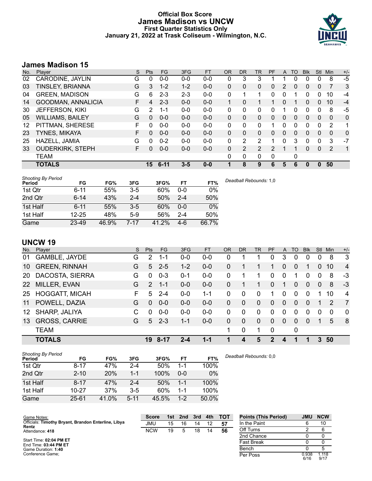# **Official Box Score James Madison vs UNCW First Quarter Statistics Only January 21, 2022 at Trask Coliseum - Wilmington, N.C.**



# **James Madison 15**

| No. | Plaver                  | S | <b>Pts</b> | <b>FG</b> | 3FG     | <b>FT</b> | 0R       | <b>DR</b> | TR            | <b>PF</b> | A        | TO           | <b>Blk</b> | Stl          | Min      | $+/-$ |
|-----|-------------------------|---|------------|-----------|---------|-----------|----------|-----------|---------------|-----------|----------|--------------|------------|--------------|----------|-------|
| 02  | CARODINE, JAYLIN        | G | 0          | $0 - 0$   | $0-0$   | $0 - 0$   | 0        | 3         | 3             |           |          | 0            | 0          | 0            | 8        | $-5$  |
| 03  | TINSLEY, BRIANNA        | G | 3          | $1 - 2$   | $1 - 2$ | $0 - 0$   | 0        | 0         | 0             | 0         | 2        | 0            | 0          | 0            | 7        | 3     |
| 04  | <b>GREEN, MADISON</b>   | G | 6          | $2 - 3$   | $2 - 3$ | $0 - 0$   | 0        | 1         |               | 0         | 0        |              | 0          | 0            | 10       | -4    |
| 14  | GOODMAN, ANNALICIA      | F | 4          | $2 - 3$   | $0 - 0$ | $0 - 0$   | 1        | 0         |               |           | 0        |              | 0          | 0            | 10       | $-4$  |
| 30  | <b>JEFFERSON, KIKI</b>  | G | 2          | $1 - 1$   | $0 - 0$ | $0 - 0$   | 0        | 0         | 0             | 0         |          | 0            | 0          | 0            | 8        | -5    |
| 05  | <b>WILLIAMS, BAILEY</b> | G | $\Omega$   | $0 - 0$   | $0 - 0$ | $0 - 0$   | $\Omega$ | 0         | 0             | $\Omega$  | $\Omega$ | 0            | 0          | 0            | 0        | 0     |
| 12  | PITTMAN, SHERESE        | F | 0          | $0 - 0$   | $0 - 0$ | $0 - 0$   | 0        | 0         | 0             |           | 0        | $\mathbf{0}$ | 0          | $\Omega$     | 2        | 1     |
| 23  | <b>TYNES, MIKAYA</b>    | F | 0          | $0 - 0$   | $0 - 0$ | $0 - 0$   | 0        | 0         | 0             | $\Omega$  | $\Omega$ | 0            | 0          | 0            | $\Omega$ | 0     |
| 25  | HAZELL, JAMIA           | G | 0          | $0 - 2$   | $0 - 0$ | $0 - 0$   | 0        | 2         | 2             |           | 0        | 3            | 0          | 0            | 3        | $-7$  |
| 33  | <b>OUDERKIRK, STEPH</b> | F | 0          | $0 - 0$   | $0 - 0$ | $0 - 0$   | $\Omega$ | 2         | $\mathcal{P}$ | 2         |          |              | $\Omega$   | $\Omega$     | 2        | 1     |
|     | <b>TEAM</b>             |   |            |           |         |           | 0        | 0         | 0             | 0         |          | 0            |            |              |          |       |
|     | <b>TOTALS</b>           |   | 15         | $6 - 11$  | $3 - 5$ | $0 - 0$   |          | 8         | 9             | 6         | 5        | 6            | 0          | $\mathbf{0}$ | 50       |       |

| <b>Shooting By Period</b><br>Period | FG        | FG%   | 3FG     | 3FG%  | FT      | FT%   | Deadball Rebounds: 1,0 |
|-------------------------------------|-----------|-------|---------|-------|---------|-------|------------------------|
| 1st Qtr                             | $6 - 11$  | 55%   | $3-5$   | 60%   | $0 - 0$ | 0%    |                        |
| 2nd Qtr                             | $6 - 14$  | 43%   | $2 - 4$ | 50%   | $2 - 4$ | 50%   |                        |
| 1st Half                            | $6 - 11$  | 55%   | $3-5$   | 60%   | $0 - 0$ | 0%    |                        |
| 1st Half                            | $12 - 25$ | 48%   | $5-9$   | 56%   | $2 - 4$ | 50%   |                        |
| Game                                | 23-49     | 46.9% | 7-17    | 41.2% | $4-6$   | 66.7% |                        |

# **UNCW 19**

| No. | Plaver                | S. | <b>Pts</b>    | <b>FG</b> | 3FG     | <b>FT</b> | <b>OR</b> | <b>DR</b> | <b>TR</b>    | PF           | A              | TO       | <b>Blk</b> | Stl            | Min      | $+/-$          |
|-----|-----------------------|----|---------------|-----------|---------|-----------|-----------|-----------|--------------|--------------|----------------|----------|------------|----------------|----------|----------------|
| 01  | GAMBLE, JAYDE         | G  | 2             | 1-1       | $0 - 0$ | $0 - 0$   | 0         |           |              | 0            | 3              | $\Omega$ | 0          | 0              | 8        | 3              |
| 10  | <b>GREEN, RINNAH</b>  | G  | 5.            | $2 - 5$   | $1 - 2$ | $0 - 0$   | 0         |           |              |              | $\overline{0}$ | 0        | 1          | 0              | 10       | $\overline{4}$ |
| 20  | DACOSTA, SIERRA       | G  | 0             | $0 - 3$   | $0 - 1$ | $0 - 0$   | 0         |           |              | 0            | 0              |          | 0          | 0              | 8        | $-3$           |
| 22  | MILLER, EVAN          | G  | $\mathcal{P}$ | $1 - 1$   | $0 - 0$ | $0-0$     | 0         |           |              | $\Omega$     |                | 0        | $\Omega$   | $\overline{0}$ | 8        | $-3$           |
| 25  | <b>HOGGATT, MICAH</b> | F. | 5.            | $2 - 4$   | $0-0$   | $1 - 1$   | 0         | $\Omega$  | $\Omega$     | 1            | 0              | $\Omega$ | $\Omega$   |                | 10       | $\overline{4}$ |
| 11  | POWELL, DAZIA         | G  | 0             | $0 - 0$   | $0 - 0$ | $0 - 0$   | 0         | $\Omega$  | $\Omega$     | $\Omega$     | 0              | $\Omega$ | $\Omega$   |                | 2        | 7              |
| 12  | SHARP, JALIYA         | C  | $\Omega$      | $0 - 0$   | $0-0$   | $0-0$     | 0         | $\Omega$  | $\Omega$     | $\Omega$     | 0              | $\Omega$ | $\Omega$   | $\Omega$       | $\Omega$ | $\Omega$       |
| 13  | <b>GROSS, CARRIE</b>  | G  | $5^{\circ}$   | $2 - 3$   | $1 - 1$ | $0 - 0$   | $\Omega$  | $\Omega$  | $\mathbf{0}$ | $\Omega$     | $\Omega$       | $\Omega$ | $\Omega$   |                | 5        | -8             |
|     | <b>TEAM</b>           |    |               |           |         |           | 1         | 0         | 1            | 0            |                | 0        |            |                |          |                |
|     | <b>TOTALS</b>         |    | 19            | 8-17      | 2-4     | $1 - 1$   | 1         | 4         | 5            | $\mathbf{P}$ | 4              | 1        | 1          | 3              | 50       |                |

| <b>Shooting By Period</b><br>Period | FG        | FG%        | 3FG      | 3FG%  | FT      | FT%   | Deadball Rebounds: 0,0 |
|-------------------------------------|-----------|------------|----------|-------|---------|-------|------------------------|
| 1st Qtr                             | 8-17      | 47%        | $2 - 4$  | 50%   | 1-1     | 100%  |                        |
| 2nd Qtr                             | $2 - 10$  | <b>20%</b> | $1 - 1$  | 100%  | $0 - 0$ | $0\%$ |                        |
| 1st Half                            | $8 - 17$  | 47%        | $2 - 4$  | 50%   | $1 - 1$ | 100%  |                        |
| 1st Half                            | $10 - 27$ | 37%        | $3-5$    | 60%   | 1-1     | 100%  |                        |
| Game                                | $25 - 61$ | 41.0%      | $5 - 11$ | 45.5% | $1 - 2$ | 50.0% |                        |

| Game Notes:                                                  | <b>Score</b> | 1st | 2nd | 3rd | 4th | <b>TOT</b> | <b>Points (This Period)</b> | JMU           | <b>NCW</b>    |
|--------------------------------------------------------------|--------------|-----|-----|-----|-----|------------|-----------------------------|---------------|---------------|
| Officials: Timothy Bryant, Brandon Enterline, Libya<br>Rentz | JMU          | 15  | 16  | 14  |     | 57         | In the Paint                |               | 10            |
| Attendance: 418                                              | <b>NCW</b>   | 19  | 5   | 18  | 14  | 56         | Off Turns                   |               | 6             |
|                                                              |              |     |     |     |     |            | 2nd Chance                  |               |               |
| Start Time: 02:04 PM ET<br>End Time: 03:44 PM ET             |              |     |     |     |     |            | <b>Fast Break</b>           |               |               |
| Game Duration: 1:40                                          |              |     |     |     |     |            | Bench                       |               |               |
| Conference Game:                                             |              |     |     |     |     |            | Per Poss                    | 0.938<br>6/16 | 1.118<br>9/17 |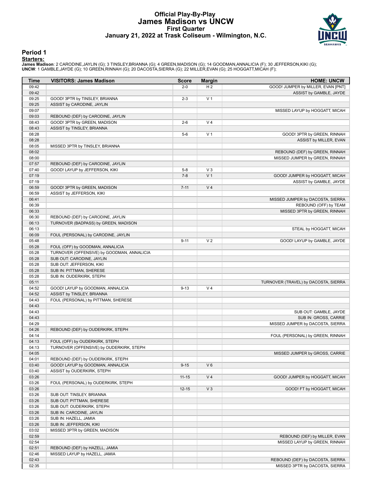# **Official Play-By-Play James Madison vs UNCW First Quarter January 21, 2022 at Trask Coliseum - Wilmington, N.C.**



### **Period 1**

<mark>Startersː</mark><br>James Madison: 2 CARODINE,JAYLIN (G); 3 TINSLEY,BRIANNA (G); 4 GREEN,MADISON (G); 14 GOODMAN,ANNALICIA (F); 30 JEFFERSON,KIKI (G);<br>**UNCW**: 1 GAMBLE,JAYDE (G); 10 GREEN,RINNAH (G); 20 DACOSTA,SIERRA (G); 22 MILL

| Time           | <b>VISITORS: James Madison</b>                                  | <b>Score</b> | <b>Margin</b>  | <b>HOME: UNCW</b>                    |
|----------------|-----------------------------------------------------------------|--------------|----------------|--------------------------------------|
| 09:42          |                                                                 | $2 - 0$      | H <sub>2</sub> | GOOD! JUMPER by MILLER, EVAN [PNT]   |
| 09:42          |                                                                 |              |                | ASSIST by GAMBLE, JAYDE              |
| 09:25          | GOOD! 3PTR by TINSLEY, BRIANNA                                  | $2 - 3$      | V <sub>1</sub> |                                      |
| 09:25          | ASSIST by CARODINE, JAYLIN                                      |              |                |                                      |
| 09:07          |                                                                 |              |                | MISSED LAYUP by HOGGATT, MICAH       |
| 09:03          | REBOUND (DEF) by CARODINE, JAYLIN                               |              |                |                                      |
| 08:43          | GOOD! 3PTR by GREEN, MADISON                                    | $2 - 6$      | V <sub>4</sub> |                                      |
| 08:43          | ASSIST by TINSLEY, BRIANNA                                      |              |                |                                      |
| 08:28          |                                                                 | $5-6$        | V <sub>1</sub> | GOOD! 3PTR by GREEN, RINNAH          |
| 08:28          |                                                                 |              |                | ASSIST by MILLER, EVAN               |
| 08:05          | MISSED 3PTR by TINSLEY, BRIANNA                                 |              |                |                                      |
| 08:02          |                                                                 |              |                | REBOUND (DEF) by GREEN, RINNAH       |
| 08:00          |                                                                 |              |                | MISSED JUMPER by GREEN, RINNAH       |
| 07:57<br>07:40 | REBOUND (DEF) by CARODINE, JAYLIN                               | $5 - 8$      | $V_3$          |                                      |
| 07:19          | GOOD! LAYUP by JEFFERSON, KIKI                                  | $7 - 8$      | V <sub>1</sub> | GOOD! JUMPER by HOGGATT, MICAH       |
| 07:19          |                                                                 |              |                | ASSIST by GAMBLE, JAYDE              |
| 06:59          | GOOD! 3PTR by GREEN, MADISON                                    | $7 - 11$     | V <sub>4</sub> |                                      |
| 06:59          | ASSIST by JEFFERSON, KIKI                                       |              |                |                                      |
| 06:41          |                                                                 |              |                | MISSED JUMPER by DACOSTA, SIERRA     |
| 06:39          |                                                                 |              |                | REBOUND (OFF) by TEAM                |
| 06:33          |                                                                 |              |                | MISSED 3PTR by GREEN, RINNAH         |
| 06:30          | REBOUND (DEF) by CARODINE, JAYLIN                               |              |                |                                      |
| 06:13          | TURNOVER (BADPASS) by GREEN, MADISON                            |              |                |                                      |
| 06:13          |                                                                 |              |                | STEAL by HOGGATT, MICAH              |
| 06:09          | FOUL (PERSONAL) by CARODINE, JAYLIN                             |              |                |                                      |
| 05:48          |                                                                 | $9 - 11$     | V <sub>2</sub> | GOOD! LAYUP by GAMBLE, JAYDE         |
| 05:28          | FOUL (OFF) by GOODMAN, ANNALICIA                                |              |                |                                      |
| 05:28          | TURNOVER (OFFENSIVE) by GOODMAN, ANNALICIA                      |              |                |                                      |
| 05:28          | SUB OUT: CARODINE, JAYLIN                                       |              |                |                                      |
| 05:28          | SUB OUT: JEFFERSON, KIKI                                        |              |                |                                      |
| 05:28          | SUB IN: PITTMAN, SHERESE                                        |              |                |                                      |
| 05:28          | SUB IN: OUDERKIRK, STEPH                                        |              |                |                                      |
| 05:11          |                                                                 |              |                | TURNOVER (TRAVEL) by DACOSTA, SIERRA |
| 04:52          | GOOD! LAYUP by GOODMAN, ANNALICIA                               | $9 - 13$     | V <sub>4</sub> |                                      |
| 04:52          | ASSIST by TINSLEY, BRIANNA                                      |              |                |                                      |
| 04:43<br>04:43 | FOUL (PERSONAL) by PITTMAN, SHERESE                             |              |                |                                      |
| 04:43          |                                                                 |              |                | SUB OUT: GAMBLE, JAYDE               |
| 04:43          |                                                                 |              |                | SUB IN: GROSS, CARRIE                |
| 04:29          |                                                                 |              |                | MISSED JUMPER by DACOSTA, SIERRA     |
| 04:26          | REBOUND (DEF) by OUDERKIRK, STEPH                               |              |                |                                      |
| 04:14          |                                                                 |              |                | FOUL (PERSONAL) by GREEN, RINNAH     |
| 04:13          | FOUL (OFF) by OUDERKIRK, STEPH                                  |              |                |                                      |
| 04:13          | TURNOVER (OFFENSIVE) by OUDERKIRK, STEPH                        |              |                |                                      |
| 04:05          |                                                                 |              |                | MISSED JUMPER by GROSS, CARRIE       |
| 04:01          | REBOUND (DEF) by OUDERKIRK, STEPH                               |              |                |                                      |
| 03:40          | GOOD! LAYUP by GOODMAN, ANNALICIA                               | $9 - 15$     | $V_6$          |                                      |
| 03:40          | ASSIST by OUDERKIRK, STEPH                                      |              |                |                                      |
| 03:26          |                                                                 | $11 - 15$    | V <sub>4</sub> | GOOD! JUMPER by HOGGATT, MICAH       |
| 03:26          | FOUL (PERSONAL) by OUDERKIRK, STEPH                             |              |                |                                      |
| 03:26          |                                                                 | $12 - 15$    | $V_3$          | GOOD! FT by HOGGATT, MICAH           |
| 03:26          | SUB OUT: TINSLEY, BRIANNA                                       |              |                |                                      |
| 03:26          | SUB OUT: PITTMAN, SHERESE                                       |              |                |                                      |
| 03:26          | SUB OUT: OUDERKIRK, STEPH                                       |              |                |                                      |
| 03:26          | SUB IN: CARODINE, JAYLIN                                        |              |                |                                      |
| 03:26          | SUB IN: HAZELL, JAMIA                                           |              |                |                                      |
| 03:26          | SUB IN: JEFFERSON, KIKI                                         |              |                |                                      |
| 03:02          | MISSED 3PTR by GREEN, MADISON                                   |              |                |                                      |
| 02:59          |                                                                 |              |                | REBOUND (DEF) by MILLER, EVAN        |
| 02:54          |                                                                 |              |                | MISSED LAYUP by GREEN, RINNAH        |
| 02:51<br>02:46 | REBOUND (DEF) by HAZELL, JAMIA<br>MISSED LAYUP by HAZELL, JAMIA |              |                |                                      |
| 02:43          |                                                                 |              |                | REBOUND (DEF) by DACOSTA, SIERRA     |
| 02:35          |                                                                 |              |                | MISSED 3PTR by DACOSTA, SIERRA       |
|                |                                                                 |              |                |                                      |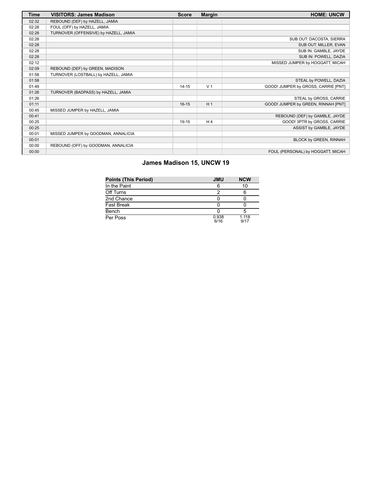| <b>Time</b> | <b>VISITORS: James Madison</b>        | <b>Score</b> | <b>Margin</b>  | <b>HOME: UNCW</b>                   |
|-------------|---------------------------------------|--------------|----------------|-------------------------------------|
| 02:32       | REBOUND (DEF) by HAZELL, JAMIA        |              |                |                                     |
| 02:28       | FOUL (OFF) by HAZELL, JAMIA           |              |                |                                     |
| 02:28       | TURNOVER (OFFENSIVE) by HAZELL, JAMIA |              |                |                                     |
| 02:28       |                                       |              |                | SUB OUT: DACOSTA, SIERRA            |
| 02:28       |                                       |              |                | SUB OUT: MILLER, EVAN               |
| 02:28       |                                       |              |                | SUB IN: GAMBLE, JAYDE               |
| 02:28       |                                       |              |                | SUB IN: POWELL, DAZIA               |
| 02:12       |                                       |              |                | MISSED JUMPER by HOGGATT, MICAH     |
| 02:09       | REBOUND (DEF) by GREEN, MADISON       |              |                |                                     |
| 01:58       | TURNOVER (LOSTBALL) by HAZELL, JAMIA  |              |                |                                     |
| 01:58       |                                       |              |                | STEAL by POWELL, DAZIA              |
| 01:49       |                                       | $14 - 15$    | V <sub>1</sub> | GOOD! JUMPER by GROSS, CARRIE [PNT] |
| 01:26       | TURNOVER (BADPASS) by HAZELL, JAMIA   |              |                |                                     |
| 01:26       |                                       |              |                | STEAL by GROSS, CARRIE              |
| 01:11       |                                       | $16 - 15$    | H <sub>1</sub> | GOOD! JUMPER by GREEN, RINNAH [PNT] |
| 00:45       | MISSED JUMPER by HAZELL, JAMIA        |              |                |                                     |
| 00:41       |                                       |              |                | REBOUND (DEF) by GAMBLE, JAYDE      |
| 00:25       |                                       | 19-15        | H <sub>4</sub> | GOOD! 3PTR by GROSS, CARRIE         |
| 00:25       |                                       |              |                | ASSIST by GAMBLE, JAYDE             |
| 00:01       | MISSED JUMPER by GOODMAN, ANNALICIA   |              |                |                                     |
| 00:01       |                                       |              |                | BLOCK by GREEN, RINNAH              |
| 00:00       | REBOUND (OFF) by GOODMAN, ANNALICIA   |              |                |                                     |
| 00:00       |                                       |              |                | FOUL (PERSONAL) by HOGGATT, MICAH   |

# **James Madison 15, UNCW 19**

| <b>Points (This Period)</b> | <b>JMU</b>    | <b>NCW</b>    |
|-----------------------------|---------------|---------------|
| In the Paint                | 6             | 10            |
| Off Turns                   |               |               |
| 2nd Chance                  |               |               |
| Fast Break                  |               |               |
| Bench                       |               |               |
| Per Poss                    | 0.938<br>6/16 | 1.118<br>9/17 |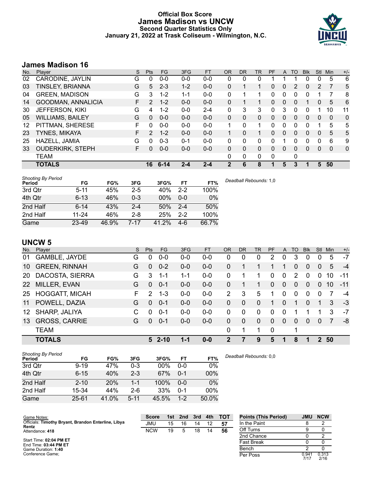# **Official Box Score James Madison vs UNCW Second Quarter Statistics Only January 21, 2022 at Trask Coliseum - Wilmington, N.C.**



# **James Madison 16**

| Plaver                  | S  | <b>Pts</b>     | <b>FG</b> | 3FG     | <b>FT</b> | 0R          | DR       | TR | <b>PF</b> | A            | TO | <b>Blk</b> | Stl          | Min      | $+/-$ |
|-------------------------|----|----------------|-----------|---------|-----------|-------------|----------|----|-----------|--------------|----|------------|--------------|----------|-------|
| CARODINE, JAYLIN        | G  | 0              | $0 - 0$   | $0-0$   | $0 - 0$   | 0           | 0        | 0  |           |              |    | 0          | 0            | 5        | 6     |
| TINSLEY, BRIANNA        | G  | 5              | $2 - 3$   | $1 - 2$ | $0 - 0$   | 0           |          |    | 0         | 0            | 2  | 0          | 2            | 7        | 5     |
| <b>GREEN, MADISON</b>   | G  | 3              | $1 - 2$   | 1-1     | $0 - 0$   | 0           |          |    | 0         | 0            | 0  | 0          |              | 7        | 8     |
| GOODMAN, ANNALICIA      | F. | 2              | $1 - 2$   | $0 - 0$ | $0 - 0$   | 0           |          |    | $\Omega$  | $\mathbf{0}$ | 0  | 1          | $\mathbf{0}$ | 5        | 6     |
| <b>JEFFERSON, KIKI</b>  | G  | 4              | $1 - 2$   | $0 - 0$ | $2 - 4$   | 0           | 3        | 3  | 0         | 3            | 0  | 0          |              | 10       | 11    |
| <b>WILLIAMS, BAILEY</b> | G  | $\Omega$       | $0 - 0$   | $0 - 0$ | $0 - 0$   | $\Omega$    | $\Omega$ | 0  | $\Omega$  | $\Omega$     | 0  | 0          | 0            | 0        | 0     |
| PITTMAN, SHERESE        | F  | 0              | $0 - 0$   | $0 - 0$ | $0 - 0$   |             | $\Omega$ | 1  | 0         | $\Omega$     | 0  | 0          |              | 5        | 5     |
| <b>TYNES, MIKAYA</b>    | F  | $\overline{2}$ | $1 - 2$   | $0 - 0$ | $0 - 0$   |             | 0        |    | $\Omega$  | $\Omega$     | 0  | 0          | 0            | 5        | 5     |
| HAZELL, JAMIA           | G  | 0              | $0 - 3$   | $0 - 1$ | $0 - 0$   | 0           | 0        | 0  | 0         |              | 0  | O          | 0            | 6        | 9     |
| <b>OUDERKIRK, STEPH</b> | F  | 0              | $0 - 0$   | $0-0$   | $0 - 0$   | $\Omega$    | 0        | 0  | $\Omega$  | 0            | 0  | 0          | 0            | $\Omega$ | 0     |
| <b>TEAM</b>             |    |                |           |         |           | 0           | 0        | 0  | 0         |              | 0  |            |              |          |       |
| <b>TOTALS</b>           |    | 16             | $6 - 14$  | $2 - 4$ | $2 - 4$   | $\mathbf 2$ | 6        | 8  | 1         | 5            | 3  |            | 5            | 50       |       |
|                         |    |                |           |         |           |             |          |    |           |              |    |            |              |          |       |

| <b>Shooting By Period</b><br>Period | FG        | FG%   | 3FG     | 3FG%   | FT      | FT%   | Deadball Rebounds: 1,0 |
|-------------------------------------|-----------|-------|---------|--------|---------|-------|------------------------|
| 3rd Qtr                             | $5 - 11$  | 45%   | $2 - 5$ | 40%    | $2 - 2$ | 100%  |                        |
| 4th Qtr                             | $6 - 13$  | 46%   | $0 - 3$ | $00\%$ | $0 - 0$ | 0%    |                        |
| 2nd Half                            | $6 - 14$  | 43%   | $2 - 4$ | 50%    | $2 - 4$ | 50%   |                        |
| 2nd Half                            | $11 - 24$ | 46%   | $2 - 8$ | 25%    | $2 - 2$ | 100%  |                        |
| Game                                | 23-49     | 46.9% | 7-17    | 41.2%  | $4-6$   | 66.7% |                        |

# **UNCW 5**

| No.       | Plaver                | S  | <b>Pts</b>    | FG        | 3FG     | <b>FT</b> | <b>OR</b> | <b>DR</b> | <b>TR</b> | <b>PF</b> | $\mathsf{A}$ | TO       | <b>Blk</b>  | Stl            | Min | $+/-$ |
|-----------|-----------------------|----|---------------|-----------|---------|-----------|-----------|-----------|-----------|-----------|--------------|----------|-------------|----------------|-----|-------|
| 01        | GAMBLE, JAYDE         | G  | 0             | $0 - 0$   | $0 - 0$ | $0-0$     | 0         | 0         | 0         | 2         | 0            | 3        | 0           | 0              | 5   | $-7$  |
| 10        | <b>GREEN, RINNAH</b>  | G  | $\Omega$      | $0 - 2$   | $0 - 0$ | $0 - 0$   | 0         |           |           |           |              | 0        | 0           | 0              | 5   | $-4$  |
| <b>20</b> | DACOSTA, SIERRA       | G  | 3             | $1 - 1$   | 1-1     | $0-0$     | 0         |           |           | 0         | $\mathbf{0}$ | 2        | $\mathbf 0$ | $\mathbf 0$    | 10  | $-11$ |
| <b>22</b> | MILLER, EVAN          | G  | 0             | $0 - 1$   | $0-0$   | $0-0$     | 0         |           |           | 0         | 0            | 0        | $\Omega$    | $\overline{0}$ | 10  | $-11$ |
| 25        | <b>HOGGATT, MICAH</b> | F. | $\mathcal{P}$ | $1 - 3$   | $0-0$   | $0-0$     | 2         | 3         | 5         | 1         | $\Omega$     | $\Omega$ | $\Omega$    | $\Omega$       | 7   | $-4$  |
| 11        | POWELL, DAZIA         | G  | $\Omega$      | $0 - 1$   | $0 - 0$ | $0 - 0$   | $\Omega$  | $\Omega$  | $\Omega$  | 1         | 0            |          | $\Omega$    |                | 3   | $-3$  |
| 12        | SHARP, JALIYA         | C  | $\Omega$      | $0 - 1$   | $0-0$   | $0 - 0$   | $\Omega$  | $\Omega$  | 0         | 0         | $\Omega$     |          |             |                | 3   | -7    |
| 13        | <b>GROSS, CARRIE</b>  | G  | $\Omega$      | $0 - 1$   | $0 - 0$ | $0 - 0$   | $\Omega$  | $\Omega$  | $\Omega$  | $\Omega$  | $\Omega$     | $\Omega$ | $\Omega$    | $\Omega$       | 7   | -8    |
|           | <b>TEAM</b>           |    |               |           |         |           | $\Omega$  | 1         |           | 0         |              | 1        |             |                |     |       |
|           | <b>TOTALS</b>         |    |               | $52 - 10$ | 1-1     | $0 - 0$   | 2         | 7         | 9         | 5         | 1            | 8        | 1           | $\mathbf{P}$   | 50  |       |

| <b>Shooting By Period</b><br>Period | FG       | FG%        | 3FG      | 3FG%  | FT      | FT%    |
|-------------------------------------|----------|------------|----------|-------|---------|--------|
| 3rd Qtr                             | $9 - 19$ | 47%        | 0-3      | 00%   | $0 - 0$ | 0%     |
| 4th Qtr                             | $6 - 15$ | 40%        | $2 - 3$  | 67%   | $0 - 1$ | 00%    |
| 2nd Half                            | $2 - 10$ | <b>20%</b> | $1 - 1$  | 100%  | $0 - 0$ | $0\%$  |
| 2nd Half                            | 15-34    | 44%        | $2-6$    | 33%   | $0 - 1$ | $00\%$ |
| Game                                | 25-61    | 41.0%      | $5 - 11$ | 45.5% | $1 - 2$ | 50.0%  |

*Deadball Rebounds:* 0,0

| Game Notes:                                                  | <b>Score</b> | 1st | 2nd | 3rd | 4th | <b>TOT</b> | <b>Points (This Period)</b> | <b>JMU</b>    | <b>NCW</b>    |
|--------------------------------------------------------------|--------------|-----|-----|-----|-----|------------|-----------------------------|---------------|---------------|
| Officials: Timothy Bryant, Brandon Enterline, Libya<br>Rentz | JMU          | 15  | 16  | 14  | 12  | 57         | In the Paint                |               |               |
| Attendance: 418                                              | <b>NCW</b>   | 19  | 5   | 18  | 14  | 56         | Off Turns                   |               |               |
|                                                              |              |     |     |     |     |            | 2nd Chance                  |               |               |
| Start Time: 02:04 PM ET<br>End Time: 03:44 PM ET             |              |     |     |     |     |            | <b>Fast Break</b>           |               |               |
| Game Duration: 1:40                                          |              |     |     |     |     |            | Bench                       |               |               |
| Conference Game:                                             |              |     |     |     |     |            | Per Poss                    | 0.941<br>7/17 | 0.313<br>2/16 |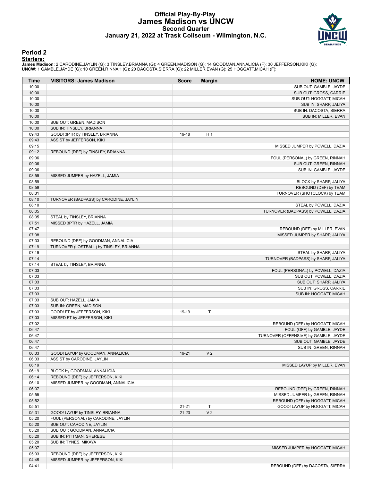# **Official Play-By-Play James Madison vs UNCW Second Quarter January 21, 2022 at Trask Coliseum - Wilmington, N.C.**



### **Period 2**

### **Starters:**

**James Madison**: 2 CARODINE,JAYLIN (G); 3 TINSLEY,BRIANNA (G); 4 GREEN,MADISON (G); 14 GOODMAN,ANNALICIA (F); 30 JEFFERSON,KIKI (G);<br>**UNCW**: 1 GAMBLE,JAYDE (G); 10 GREEN,RINNAH (G); 20 DACOSTA,SIERRA (G); 22 MILLER,EVAN (G

| Time           | <b>VISITORS: James Madison</b>          | <b>Score</b> | <b>Margin</b>  | <b>HOME: UNCW</b>                                                |
|----------------|-----------------------------------------|--------------|----------------|------------------------------------------------------------------|
| 10:00          |                                         |              |                | SUB OUT: GAMBLE, JAYDE                                           |
| 10:00          |                                         |              |                | SUB OUT: GROSS, CARRIE                                           |
| 10:00          |                                         |              |                | SUB OUT: HOGGATT, MICAH                                          |
| 10:00          |                                         |              |                | SUB IN: SHARP, JALIYA                                            |
| 10:00<br>10:00 |                                         |              |                | SUB IN: DACOSTA, SIERRA                                          |
| 10:00          | SUB OUT: GREEN, MADISON                 |              |                | SUB IN: MILLER, EVAN                                             |
| 10:00          | SUB IN: TINSLEY, BRIANNA                |              |                |                                                                  |
| 09:43          | GOOD! 3PTR by TINSLEY, BRIANNA          | 19-18        | H <sub>1</sub> |                                                                  |
| 09:43          | ASSIST by JEFFERSON, KIKI               |              |                |                                                                  |
| 09:15          |                                         |              |                | MISSED JUMPER by POWELL, DAZIA                                   |
| 09:12          | REBOUND (DEF) by TINSLEY, BRIANNA       |              |                |                                                                  |
| 09:06          |                                         |              |                | FOUL (PERSONAL) by GREEN, RINNAH                                 |
| 09:06          |                                         |              |                | SUB OUT: GREEN, RINNAH                                           |
| 09:06          |                                         |              |                | SUB IN: GAMBLE, JAYDE                                            |
| 08:59<br>08:59 | MISSED JUMPER by HAZELL, JAMIA          |              |                | BLOCK by SHARP, JALIYA                                           |
| 08:59          |                                         |              |                | REBOUND (DEF) by TEAM                                            |
| 08:31          |                                         |              |                | TURNOVER (SHOTCLOCK) by TEAM                                     |
| 08:10          | TURNOVER (BADPASS) by CARODINE, JAYLIN  |              |                |                                                                  |
| 08:10          |                                         |              |                | STEAL by POWELL, DAZIA                                           |
| 08:05          |                                         |              |                | TURNOVER (BADPASS) by POWELL, DAZIA                              |
| 08:05          | STEAL by TINSLEY, BRIANNA               |              |                |                                                                  |
| 07:51          | MISSED 3PTR by HAZELL, JAMIA            |              |                |                                                                  |
| 07:47          |                                         |              |                | REBOUND (DEF) by MILLER, EVAN                                    |
| 07:38          |                                         |              |                | MISSED JUMPER by SHARP, JALIYA                                   |
| 07:33          | REBOUND (DEF) by GOODMAN, ANNALICIA     |              |                |                                                                  |
| 07:19          | TURNOVER (LOSTBALL) by TINSLEY, BRIANNA |              |                |                                                                  |
| 07:19<br>07:14 |                                         |              |                | STEAL by SHARP, JALIYA<br>TURNOVER (BADPASS) by SHARP, JALIYA    |
| 07:14          | STEAL by TINSLEY, BRIANNA               |              |                |                                                                  |
| 07:03          |                                         |              |                | FOUL (PERSONAL) by POWELL, DAZIA                                 |
| 07:03          |                                         |              |                | SUB OUT: POWELL, DAZIA                                           |
| 07:03          |                                         |              |                | SUB OUT: SHARP, JALIYA                                           |
| 07:03          |                                         |              |                | SUB IN: GROSS, CARRIE                                            |
| 07:03          |                                         |              |                | SUB IN: HOGGATT, MICAH                                           |
| 07:03          | SUB OUT: HAZELL, JAMIA                  |              |                |                                                                  |
| 07:03          | SUB IN: GREEN, MADISON                  |              |                |                                                                  |
| 07:03          | GOOD! FT by JEFFERSON, KIKI             | 19-19        | T              |                                                                  |
| 07:03          | MISSED FT by JEFFERSON, KIKI            |              |                |                                                                  |
| 07:02<br>06:47 |                                         |              |                | REBOUND (DEF) by HOGGATT, MICAH<br>FOUL (OFF) by GAMBLE, JAYDE   |
| 06:47          |                                         |              |                | TURNOVER (OFFENSIVE) by GAMBLE, JAYDE                            |
| 06:47          |                                         |              |                | SUB OUT: GAMBLE, JAYDE                                           |
| 06:47          |                                         |              |                | SUB IN: GREEN, RINNAH                                            |
| 06:33          | GOOD! LAYUP by GOODMAN, ANNALICIA       | 19-21        | V <sub>2</sub> |                                                                  |
| 06:33          | ASSIST by CARODINE, JAYLIN              |              |                |                                                                  |
| 06:19          |                                         |              |                | MISSED LAYUP by MILLER, EVAN                                     |
| 06:19          | BLOCK by GOODMAN, ANNALICIA             |              |                |                                                                  |
| 06:14          | REBOUND (DEF) by JEFFERSON, KIKI        |              |                |                                                                  |
| 06:10          | MISSED JUMPER by GOODMAN, ANNALICIA     |              |                |                                                                  |
| 06:07          |                                         |              |                | REBOUND (DEF) by GREEN, RINNAH                                   |
| 05:55          |                                         |              |                | MISSED JUMPER by GREEN, RINNAH                                   |
| 05:52<br>05:51 |                                         | $21 - 21$    | Т              | REBOUND (OFF) by HOGGATT, MICAH<br>GOOD! LAYUP by HOGGATT, MICAH |
| 05:31          | GOOD! LAYUP by TINSLEY, BRIANNA         | $21 - 23$    | V <sub>2</sub> |                                                                  |
| 05:20          | FOUL (PERSONAL) by CARODINE, JAYLIN     |              |                |                                                                  |
| 05:20          | SUB OUT: CARODINE, JAYLIN               |              |                |                                                                  |
| 05:20          | SUB OUT: GOODMAN, ANNALICIA             |              |                |                                                                  |
| 05:20          | SUB IN: PITTMAN, SHERESE                |              |                |                                                                  |
| 05:20          | SUB IN: TYNES, MIKAYA                   |              |                |                                                                  |
| 05:07          |                                         |              |                | MISSED JUMPER by HOGGATT, MICAH                                  |
| 05:03          | REBOUND (DEF) by JEFFERSON, KIKI        |              |                |                                                                  |
| 04:45          | MISSED JUMPER by JEFFERSON, KIKI        |              |                |                                                                  |
| 04:41          |                                         |              |                | REBOUND (DEF) by DACOSTA, SIERRA                                 |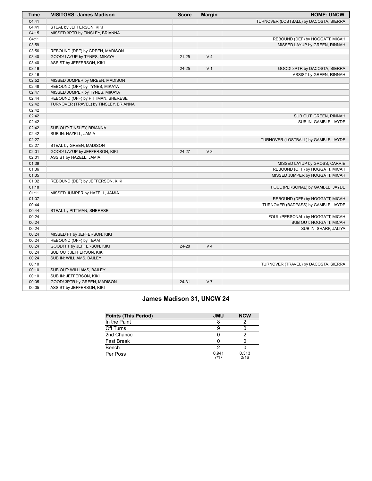| Time  | <b>VISITORS: James Madison</b>        | <b>Score</b> | <b>Margin</b>  | <b>HOME: UNCW</b>                      |
|-------|---------------------------------------|--------------|----------------|----------------------------------------|
| 04:41 |                                       |              |                | TURNOVER (LOSTBALL) by DACOSTA, SIERRA |
| 04:41 | STEAL by JEFFERSON, KIKI              |              |                |                                        |
| 04:15 | MISSED 3PTR by TINSLEY, BRIANNA       |              |                |                                        |
| 04:11 |                                       |              |                | REBOUND (DEF) by HOGGATT, MICAH        |
| 03:59 |                                       |              |                | MISSED LAYUP by GREEN, RINNAH          |
| 03:56 | REBOUND (DEF) by GREEN, MADISON       |              |                |                                        |
| 03:40 | GOOD! LAYUP by TYNES, MIKAYA          | $21 - 25$    | V <sub>4</sub> |                                        |
| 03:40 | ASSIST by JEFFERSON, KIKI             |              |                |                                        |
| 03:16 |                                       | 24-25        | V <sub>1</sub> | GOOD! 3PTR by DACOSTA, SIERRA          |
| 03:16 |                                       |              |                | ASSIST by GREEN, RINNAH                |
| 02:52 | MISSED JUMPER by GREEN, MADISON       |              |                |                                        |
| 02:48 | REBOUND (OFF) by TYNES, MIKAYA        |              |                |                                        |
| 02:47 | MISSED JUMPER by TYNES, MIKAYA        |              |                |                                        |
| 02:44 | REBOUND (OFF) by PITTMAN, SHERESE     |              |                |                                        |
| 02:42 | TURNOVER (TRAVEL) by TINSLEY, BRIANNA |              |                |                                        |
| 02:42 |                                       |              |                |                                        |
| 02:42 |                                       |              |                | SUB OUT: GREEN, RINNAH                 |
| 02:42 |                                       |              |                | SUB IN: GAMBLE, JAYDE                  |
| 02:42 | SUB OUT: TINSLEY, BRIANNA             |              |                |                                        |
| 02:42 | SUB IN: HAZELL, JAMIA                 |              |                |                                        |
| 02:27 |                                       |              |                | TURNOVER (LOSTBALL) by GAMBLE, JAYDE   |
| 02:27 | STEAL by GREEN, MADISON               |              |                |                                        |
| 02:01 | GOOD! LAYUP by JEFFERSON, KIKI        | 24-27        | $V_3$          |                                        |
| 02:01 | ASSIST by HAZELL, JAMIA               |              |                |                                        |
| 01:39 |                                       |              |                | MISSED LAYUP by GROSS, CARRIE          |
| 01:36 |                                       |              |                | REBOUND (OFF) by HOGGATT, MICAH        |
| 01:35 |                                       |              |                | MISSED JUMPER by HOGGATT, MICAH        |
| 01:32 | REBOUND (DEF) by JEFFERSON, KIKI      |              |                |                                        |
| 01:18 |                                       |              |                | FOUL (PERSONAL) by GAMBLE, JAYDE       |
| 01:11 | MISSED JUMPER by HAZELL, JAMIA        |              |                |                                        |
| 01:07 |                                       |              |                | REBOUND (DEF) by HOGGATT, MICAH        |
| 00:44 |                                       |              |                | TURNOVER (BADPASS) by GAMBLE, JAYDE    |
| 00:44 | STEAL by PITTMAN, SHERESE             |              |                |                                        |
| 00:24 |                                       |              |                | FOUL (PERSONAL) by HOGGATT, MICAH      |
| 00:24 |                                       |              |                | SUB OUT: HOGGATT, MICAH                |
| 00:24 |                                       |              |                | SUB IN: SHARP, JALIYA                  |
| 00:24 | MISSED FT by JEFFERSON, KIKI          |              |                |                                        |
| 00:24 | REBOUND (OFF) by TEAM                 |              |                |                                        |
| 00:24 | GOOD! FT by JEFFERSON, KIKI           | 24-28        | V <sub>4</sub> |                                        |
| 00:24 | SUB OUT: JEFFERSON, KIKI              |              |                |                                        |
| 00:24 | SUB IN: WILLIAMS, BAILEY              |              |                |                                        |
| 00:10 |                                       |              |                | TURNOVER (TRAVEL) by DACOSTA, SIERRA   |
| 00:10 | SUB OUT: WILLIAMS, BAILEY             |              |                |                                        |
| 00:10 | SUB IN: JEFFERSON, KIKI               |              |                |                                        |
| 00:05 | GOOD! 3PTR by GREEN, MADISON          | $24 - 31$    | V <sub>7</sub> |                                        |
| 00:05 | ASSIST by JEFFERSON, KIKI             |              |                |                                        |

# **James Madison 31, UNCW 24**

| <b>Points (This Period)</b> | <b>JMU</b>    | <b>NCW</b>    |
|-----------------------------|---------------|---------------|
| In the Paint                |               |               |
| Off Turns                   |               |               |
| 2nd Chance                  |               |               |
| Fast Break                  |               |               |
| Bench                       |               |               |
| Per Poss                    | 0.941<br>7/17 | 0.313<br>2/16 |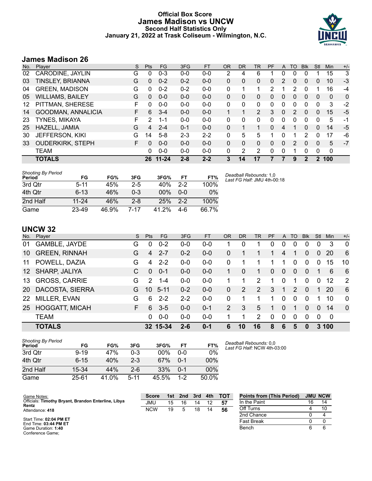# **Official Box Score James Madison vs UNCW Second Half Statistics Only January 21, 2022 at Trask Coliseum - Wilmington, N.C.**



# **James Madison 26**

| No. | Plaver                  | S  | <b>Pts</b>    | <b>FG</b> | 3FG     | <b>FT</b> | <b>OR</b> | <b>DR</b> | TR             | PF       | A | TO       | <b>B</b> lk | Stl      | <b>Min</b> | $+/-$ |
|-----|-------------------------|----|---------------|-----------|---------|-----------|-----------|-----------|----------------|----------|---|----------|-------------|----------|------------|-------|
| 02  | CARODINE, JAYLIN        | G  | 0             | $0 - 3$   | $0 - 0$ | $0-0$     | 2         | 4         | 6              |          | 0 | 0        | O           |          | 15         | 3     |
| 03  | <b>TINSLEY, BRIANNA</b> | G  | 0             | $0 - 2$   | $0 - 2$ | $0 - 0$   | 0         | 0         | 0              | 0        | 2 | 0        | 0           | 0        | 10         | $-3$  |
| 04  | <b>GREEN, MADISON</b>   | G  | $\Omega$      | $0 - 2$   | $0 - 2$ | $0 - 0$   | 0         |           | 1              | 2        |   | 2        | 0           |          | 16         | -4    |
| 05  | <b>WILLIAMS, BAILEY</b> | G  | 0             | $0 - 0$   | $0 - 0$ | $0 - 0$   | 0         | 0         | 0              | 0        | 0 | 0        | 0           | 0        | 0          | 0     |
| 12  | PITTMAN, SHERESE        | F  | 0             | $0 - 0$   | $0 - 0$ | $0 - 0$   | 0         | 0         | 0              | 0        | 0 | 0        | 0           | 0        | 3          | $-2$  |
| 14  | GOODMAN, ANNALICIA      | F. | 6             | $3 - 4$   | $0 - 0$ | $0 - 0$   |           | 1         | $\overline{2}$ | 3        | 0 | 2        | 0           | 0        | 15         | $-5$  |
| 23  | TYNES, MIKAYA           | F  | $\mathcal{P}$ | 1-1       | $0 - 0$ | $0 - 0$   | 0         | 0         | 0              | 0        | 0 | $\Omega$ | 0           | 0        | 5          | -1    |
| 25  | HAZELL, JAMIA           | G  | 4             | $2 - 4$   | $0 - 1$ | $0 - 0$   | 0         | 1         | 1              | $\Omega$ | 4 | 1        | 0           | $\Omega$ | 14         | $-5$  |
| 30  | <b>JEFFERSON, KIKI</b>  | G  | 14            | $5-8$     | $2 - 3$ | $2 - 2$   | 0         | 5         | 5              |          | 0 | 1        | 2           | 0        | 17         | -6    |
| 33  | <b>OUDERKIRK, STEPH</b> | F. | 0             | $0 - 0$   | $0 - 0$ | $0 - 0$   | 0         | 0         | 0              | 0        | 0 | 2        | $\Omega$    | $\Omega$ | 5          | $-7$  |
|     | <b>TEAM</b>             |    | 0             | $0 - 0$   | $0 - 0$ | $0 - 0$   | 0         | 2         | 2              | $\Omega$ | 0 |          | 0           | 0        | 0          |       |
|     | <b>TOTALS</b>           |    | 26            | $11 - 24$ | $2 - 8$ | $2 - 2$   | 3         | 14        | 17             |          |   | 9        |             | 2        | 100        |       |

| <b>Shooting By Period</b><br>Period | FG        | FG%   | 3FG     | 3FG%   | FT    | FT%   | Deadk<br>Last F |
|-------------------------------------|-----------|-------|---------|--------|-------|-------|-----------------|
| 3rd Qtr                             | $5 - 11$  | 45%   | $2-5$   | 40%    | $2-2$ | 100%  |                 |
| 4th Otr                             | $6 - 13$  | 46%   | $0 - 3$ | $00\%$ | 0-0   | $0\%$ |                 |
| 2nd Half                            | $11 - 24$ | 46%   | $2 - 8$ | 25%    | $2-2$ | 100%  |                 |
| Game                                | 23-49     | 46.9% | 7-17    | 41.2%  | 4-6   | 66.7% |                 |

*Deadball Rebounds:* 1,0 *Last FG Half:* JMU 4th-00:18

# **UNCW 32**

| No.             | Player                | S. | <b>Pts</b> | <b>FG</b> | 3FG     | FT.     | <b>OR</b> | <b>DR</b> | TR.           | <b>PF</b> | A              | TO.            | <b>Blk</b>  | Stl      | Min | $+/-$        |
|-----------------|-----------------------|----|------------|-----------|---------|---------|-----------|-----------|---------------|-----------|----------------|----------------|-------------|----------|-----|--------------|
| 01              | <b>GAMBLE, JAYDE</b>  | G  | 0          | $0 - 2$   | $0 - 0$ | $0 - 0$ |           | 0         |               | 0         | $\Omega$       | 0              | 0           | 0        | 3   | 0            |
| 10              | <b>GREEN, RINNAH</b>  | G  | 4          | $2 - 7$   | $0 - 2$ | $0 - 0$ | 0         |           |               | 1         | 4              | 1              | $\Omega$    | 0        | 20  | 6            |
| 11              | POWELL, DAZIA         | G  | 4          | $2 - 2$   | $0-0$   | $0 - 0$ | 0         |           |               |           |                | 0              | $\mathbf 0$ | 0        | 15  | 10           |
| 12 <sup>1</sup> | SHARP, JALIYA         | C  | $\Omega$   | $0 - 1$   | $0 - 0$ | $0 - 0$ | 1.        | 0         |               | 0         | $\overline{0}$ | $\overline{0}$ | $\Omega$    | 1        | 6   | 6            |
| 13              | <b>GROSS, CARRIE</b>  | G  | 2          | $1 - 4$   | $0 - 0$ | $0 - 0$ |           |           | 2             | 1         | $\Omega$       | 1              | $\Omega$    | $\Omega$ | 12  | 2            |
| <b>20</b>       | DACOSTA, SIERRA       | G. | 10         | $5 - 11$  | $0 - 2$ | $0 - 0$ | $\Omega$  | 2         | $\mathcal{P}$ | 3         | -1             | $\mathcal{P}$  | $\Omega$    | 1        | 20  | 6            |
| <b>22</b>       | MILLER, EVAN          | G  | 6          | $2 - 2$   | $2 - 2$ | $0-0$   | 0         |           |               | 1         | $\Omega$       | 0              | $\Omega$    | 1        | 10  | $\mathbf{0}$ |
| 25              | <b>HOGGATT, MICAH</b> | F. | 6          | $3-5$     | $0 - 0$ | $0 - 1$ | 2         | 3         | 5             | 1         | $\Omega$       | 1              | $\Omega$    | $\Omega$ | 14  | $\Omega$     |
|                 | <b>TEAM</b>           |    | 0          | $0 - 0$   | $0 - 0$ | $0 - 0$ | 1         |           | 2             | $\Omega$  | $\Omega$       | 0              | $\Omega$    | $\Omega$ | 0   |              |
|                 | <b>TOTALS</b>         |    |            | 32 15-34  | $2 - 6$ | $0 - 1$ | 6         | 10        | 16            | 8         | 6              | 5              | 0           | 3        | 100 |              |

| <b>Shooting By Period</b><br>Period | FG       | FG%   | 3FG      | 3FG%   | FT      | FT%    |
|-------------------------------------|----------|-------|----------|--------|---------|--------|
| 3rd Otr                             | $9 - 19$ | 47%   | 0-3      | $00\%$ | ი-ი     | 0%     |
| 4th Qtr                             | $6 - 15$ | 40%   | $2 - 3$  | 67%    | $0 - 1$ | 00%    |
| 2nd Half                            | 15-34    | 44%   | $2 - 6$  | 33%    | $0 - 1$ | $00\%$ |
| Game                                | 25-61    | 41.0% | $5 - 11$ | 45.5%  | $1-2$   | 50.0%  |

*Deadball Rebounds:* 0,0 *Last FG Half:* NCW 4th-03:00

| Game Notes:                                                  | <b>Score</b> | 1st | 2 <sub>nd</sub> | 3rd | 4th | <b>TOT</b> | <b>Points from (This Period)</b> |    | <b>JMU NCW</b> |
|--------------------------------------------------------------|--------------|-----|-----------------|-----|-----|------------|----------------------------------|----|----------------|
| Officials: Timothy Bryant, Brandon Enterline, Libya<br>Rentz | JMU          | 15  | 16              | 14  |     | -57        | In the Paint                     | 16 | 14             |
| Attendance: 418                                              | <b>NCW</b>   | 19  |                 | 18  | 14  | 56         | Off Turns                        |    |                |
|                                                              |              |     |                 |     |     |            | 2nd Chance                       |    |                |
| Start Time: 02:04 PM ET<br>End Time: $03:44$ PM ET           |              |     |                 |     |     |            | Fast Break                       |    |                |
| Game Duration: 1:40                                          |              |     |                 |     |     |            | Bench                            |    |                |

Conference Game;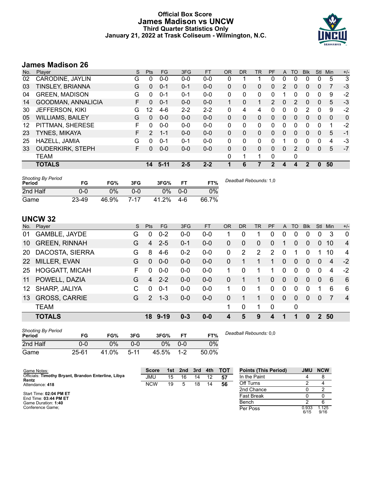# **Official Box Score James Madison vs UNCW Third Quarter Statistics Only January 21, 2022 at Trask Coliseum - Wilmington, N.C.**



# **James Madison 26**

| No. | Plaver                  | S  | Pts          | FG.     | 3FG     | <b>FT</b> | <b>OR</b>    | <b>DR</b>    | TR | <b>PF</b> | A | TO            | <b>Blk</b> | Stl      | <b>Min</b> | $+/-$ |
|-----|-------------------------|----|--------------|---------|---------|-----------|--------------|--------------|----|-----------|---|---------------|------------|----------|------------|-------|
| 02  | CARODINE, JAYLIN        | G  | 0            | $0 - 0$ | $0 - 0$ | $0-0$     | 0            |              |    | 0         | 0 | 0             | 0          | 0        | 5          | 3     |
| 03  | TINSLEY, BRIANNA        | G  | 0            | $0 - 1$ | $0 - 1$ | $0 - 0$   | $\Omega$     | 0            | 0  | $\Omega$  | 2 | 0             | 0          | 0        | 7          | $-3$  |
| 04  | <b>GREEN, MADISON</b>   | G  | 0            | $0 - 1$ | $0 - 1$ | $0 - 0$   | $\Omega$     | 0            | 0  | 0         |   | 0             | 0          | 0        | 9          | $-2$  |
| 14  | GOODMAN, ANNALICIA      | F. | 0            | $0 - 1$ | $0 - 0$ | $0 - 0$   | 1            | 0            | 1  | 2         | 0 | 2             | 0          | 0        | 5          | $-3$  |
| 30  | <b>JEFFERSON, KIKI</b>  | G  | 12           | $4-6$   | $2 - 2$ | $2 - 2$   | $\Omega$     | 4            | 4  | 0         | 0 | 0             | 2          | $\Omega$ | 9          | $-2$  |
| 05  | <b>WILLIAMS, BAILEY</b> | G  | $\Omega$     | $0 - 0$ | $0 - 0$ | $0 - 0$   | $\Omega$     | 0            | 0  | $\Omega$  | 0 | $\Omega$      | 0          | $\Omega$ | 0          | 0     |
| 12  | PITTMAN, SHERESE        | F  | 0            | $0 - 0$ | $0 - 0$ | $0 - 0$   | $\mathbf{0}$ | 0            | 0  | 0         | 0 | 0             | 0          | 0        | 1          | $-2$  |
| 23  | <b>TYNES, MIKAYA</b>    | F. | 2            | $1 - 1$ | $0 - 0$ | $0 - 0$   | $\Omega$     | 0            | 0  | 0         | 0 | 0             | $\Omega$   | 0        | 5          | $-1$  |
| 25  | HAZELL, JAMIA           | G  | 0            | $0 - 1$ | $0 - 1$ | $0 - 0$   | $\Omega$     | 0            | 0  | $\Omega$  |   | 0             | 0          | $\Omega$ | 4          | $-3$  |
| 33  | <b>OUDERKIRK, STEPH</b> | F  | <sup>0</sup> | $0 - 0$ | $0 - 0$ | $0 - 0$   | $\Omega$     | $\mathbf{0}$ | 0  | $\Omega$  | 0 | $\mathcal{P}$ | 0          | 0        | 5          | $-7$  |
|     | <b>TEAM</b>             |    |              |         |         |           | 0            | 1            |    | 0         |   | 0             |            |          |            |       |
|     | <b>TOTALS</b>           |    | 14           | $5-11$  | $2 - 5$ | $2 - 2$   |              | 6            | 7  | 2         | 4 | 4             | 2          | $\Omega$ | 50         |       |

| <b>Shooting By Period</b><br>Period | FG    | FG%   | 3FG  | 3FG%  | FТ      | FT%   | Deadball Rebounds: 1,0 |
|-------------------------------------|-------|-------|------|-------|---------|-------|------------------------|
| 2nd Half                            | 0-0   | $0\%$ | 0-0  | 0%    | $0 - 0$ | 0%    |                        |
| Game                                | 23-49 | 46.9% | 7-17 | 41.2% | 4-6     | 66.7% |                        |

# **UNCW 32**

| No. | Player                | S. | <b>Pts</b>     | <b>FG</b> | 3FG     | <b>FT</b> | <b>OR</b> | <b>DR</b>   | <b>TR</b>      | PF             | A            | TO       | <b>BIK</b> | Stl            | Min | $+/-$          |
|-----|-----------------------|----|----------------|-----------|---------|-----------|-----------|-------------|----------------|----------------|--------------|----------|------------|----------------|-----|----------------|
| 01  | GAMBLE, JAYDE         | G  | 0              | $0 - 2$   | $0 - 0$ | $0 - 0$   |           | 0           |                | 0              | 0            | 0        | 0          | 0              | 3   | $\overline{0}$ |
| 10  | <b>GREEN, RINNAH</b>  | G  | 4              | $2 - 5$   | $0 - 1$ | $0 - 0$   | 0         | $\mathbf 0$ | $\overline{0}$ | 0              |              | 0        | 0          | $\overline{0}$ | 10  | $\overline{4}$ |
| 20  | DACOSTA, SIERRA       | G  | 8              | $4-6$     | $0 - 2$ | $0-0$     | $\Omega$  | 2           | 2              | 2              | 0            |          | 0          |                | 10  | 4              |
| 22  | MILLER, EVAN          | G  | $\Omega$       | $0 - 0$   | $0 - 0$ | $0 - 0$   | 0         |             |                | 1              | $\Omega$     | 0        | 0          | $\Omega$       | 4   | $-2$           |
| 25  | <b>HOGGATT, MICAH</b> | F. | 0              | $0 - 0$   | $0 - 0$ | $0-0$     |           | 0           |                |                | 0            | $\Omega$ | 0          | $\Omega$       | 4   | $-2$           |
| 11  | POWELL, DAZIA         | G  | $\overline{4}$ | $2 - 2$   | $0 - 0$ | $0 - 0$   | 0         | 1           | 1              | 0              | $\mathbf{0}$ | $\Omega$ | 0          | $\Omega$       | 6   | 6              |
| 12  | SHARP, JALIYA         | C  | 0              | $0 - 1$   | $0-0$   | $0-0$     |           | 0           |                | 0              | $\Omega$     | $\Omega$ | $\Omega$   |                | 6   | 6              |
| 13  | <b>GROSS, CARRIE</b>  | G  | $\mathcal{P}$  | $1 - 3$   | $0 - 0$ | $0 - 0$   | 0         | 1           |                | $\Omega$       | $\mathbf{0}$ | $\Omega$ | 0          | $\Omega$       | 7   | $\overline{4}$ |
|     | <b>TEAM</b>           |    |                |           |         |           | 1         | 0           |                | $\overline{0}$ |              | 0        |            |                |     |                |
|     | <b>TOTALS</b>         |    |                | 18 9-19   | $0 - 3$ | $0 - 0$   | 4         | 5           | 9              | 4              | 1            | 1        | 0          | $\mathbf{P}$   | -50 |                |

| <b>Shooting By Period</b><br>Period | FG        | FG%   | 3FG      | 3FG%  | FT.   | FT%   | Deadball Rebounds: 0.0 |
|-------------------------------------|-----------|-------|----------|-------|-------|-------|------------------------|
| 2nd Half                            | 0-0       | 0%    | 0-0      | 0%    | $O-O$ | 0%    |                        |
| Game                                | $25 - 61$ | 41.0% | $5 - 11$ | 45.5% | $1-2$ | 50.0% |                        |

| Game Notes:                                         | <b>Score</b> | 1st | 2nd | 3rd | 4th | <b>TOT</b> | <b>Points (This Period)</b> | <b>JMU</b>    | <b>NCW</b>   |
|-----------------------------------------------------|--------------|-----|-----|-----|-----|------------|-----------------------------|---------------|--------------|
| Officials: Timothy Bryant, Brandon Enterline, Libya | JMU          | 15  | 16  | 14  | 12  | -57        | In the Paint                |               |              |
| Rentz<br>Attendance: 418                            | <b>NCW</b>   | 19  |     | 18  | 14  | 56         | Off Turns                   |               |              |
|                                                     |              |     |     |     |     |            | 2nd Chance                  |               |              |
| Start Time: 02:04 PM ET<br>End Time: 03:44 PM ET    |              |     |     |     |     |            | <b>Fast Break</b>           |               |              |
| Game Duration: 1:40                                 |              |     |     |     |     |            | Bench                       |               |              |
| Conference Game:                                    |              |     |     |     |     |            | Per Poss                    | 0.933<br>6/15 | .125<br>9/16 |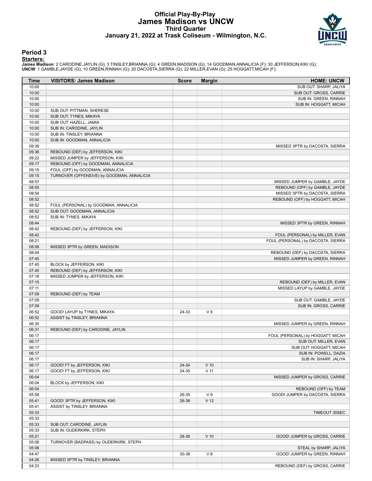# **Official Play-By-Play James Madison vs UNCW Third Quarter January 21, 2022 at Trask Coliseum - Wilmington, N.C.**



### **Period 3**

<mark>Startersː</mark><br>James Madison: 2 CARODINE,JAYLIN (G); 3 TINSLEY,BRIANNA (G); 4 GREEN,MADISON (G); 14 GOODMAN,ANNALICIA (F); 30 JEFFERSON,KIKI (G);<br>**UNCW**: 1 GAMBLE,JAYDE (G); 10 GREEN,RINNAH (G); 20 DACOSTA,SIERRA (G); 22 MILL

| Time           | <b>VISITORS: James Madison</b>                                       | <b>Score</b> | <b>Margin</b>   | <b>HOME: UNCW</b>                  |
|----------------|----------------------------------------------------------------------|--------------|-----------------|------------------------------------|
| 10:00          |                                                                      |              |                 | SUB OUT: SHARP, JALIYA             |
| 10:00          |                                                                      |              |                 | SUB OUT: GROSS, CARRIE             |
| 10:00          |                                                                      |              |                 | SUB IN: GREEN, RINNAH              |
| 10:00          |                                                                      |              |                 | SUB IN: HOGGATT, MICAH             |
| 10:00          | SUB OUT: PITTMAN, SHERESE                                            |              |                 |                                    |
| 10:00          | SUB OUT: TYNES, MIKAYA                                               |              |                 |                                    |
| 10:00          | SUB OUT: HAZELL, JAMIA                                               |              |                 |                                    |
| 10:00          | SUB IN: CARODINE, JAYLIN                                             |              |                 |                                    |
| 10:00          | SUB IN: TINSLEY, BRIANNA                                             |              |                 |                                    |
| 10:00          | SUB IN: GOODMAN, ANNALICIA                                           |              |                 |                                    |
| 09:39          |                                                                      |              |                 | MISSED 3PTR by DACOSTA, SIERRA     |
| 09:36<br>09:22 | REBOUND (DEF) by JEFFERSON, KIKI<br>MISSED JUMPER by JEFFERSON, KIKI |              |                 |                                    |
| 09:17          | REBOUND (OFF) by GOODMAN, ANNALICIA                                  |              |                 |                                    |
| 09:15          | FOUL (OFF) by GOODMAN, ANNALICIA                                     |              |                 |                                    |
| 09:15          | TURNOVER (OFFENSIVE) by GOODMAN, ANNALICIA                           |              |                 |                                    |
| 08:57          |                                                                      |              |                 | MISSED JUMPER by GAMBLE, JAYDE     |
| 08:55          |                                                                      |              |                 | REBOUND (OFF) by GAMBLE, JAYDE     |
| 08:54          |                                                                      |              |                 | MISSED 3PTR by DACOSTA, SIERRA     |
| 08:52          |                                                                      |              |                 | REBOUND (OFF) by HOGGATT, MICAH    |
| 08:52          | FOUL (PERSONAL) by GOODMAN, ANNALICIA                                |              |                 |                                    |
| 08:52          | SUB OUT: GOODMAN, ANNALICIA                                          |              |                 |                                    |
| 08:52          | SUB IN: TYNES, MIKAYA                                                |              |                 |                                    |
| 08:44          |                                                                      |              |                 | MISSED 3PTR by GREEN, RINNAH       |
| 08:42          | REBOUND (DEF) by JEFFERSON, KIKI                                     |              |                 |                                    |
| 08:42          |                                                                      |              |                 | FOUL (PERSONAL) by MILLER, EVAN    |
| 08:21          |                                                                      |              |                 | FOUL (PERSONAL) by DACOSTA, SIERRA |
| 08:08          | MISSED 3PTR by GREEN, MADISON                                        |              |                 |                                    |
| 08:04          |                                                                      |              |                 | REBOUND (DEF) by DACOSTA, SIERRA   |
| 07:45          |                                                                      |              |                 | MISSED JUMPER by GREEN, RINNAH     |
| 07:45          | BLOCK by JEFFERSON, KIKI                                             |              |                 |                                    |
| 07:40          | REBOUND (DEF) by JEFFERSON, KIKI                                     |              |                 |                                    |
| 07:18          | MISSED JUMPER by JEFFERSON, KIKI                                     |              |                 |                                    |
| 07:15          |                                                                      |              |                 | REBOUND (DEF) by MILLER, EVAN      |
| 07:11          |                                                                      |              |                 | MISSED LAYUP by GAMBLE, JAYDE      |
| 07:09          | REBOUND (DEF) by TEAM                                                |              |                 |                                    |
| 07:09          |                                                                      |              |                 | SUB OUT: GAMBLE, JAYDE             |
| 07:09          |                                                                      |              |                 | SUB IN: GROSS, CARRIE              |
| 06:52          | GOOD! LAYUP by TYNES, MIKAYA                                         | 24-33        | V <sub>9</sub>  |                                    |
| 06:52          | ASSIST by TINSLEY, BRIANNA                                           |              |                 |                                    |
| 06:35          |                                                                      |              |                 | MISSED JUMPER by GREEN, RINNAH     |
| 06:31          | REBOUND (DEF) by CARODINE, JAYLIN                                    |              |                 |                                    |
| 06:17          |                                                                      |              |                 | FOUL (PERSONAL) by HOGGATT, MICAH  |
| 06:17          |                                                                      |              |                 | SUB OUT: MILLER, EVAN              |
| 06:17          |                                                                      |              |                 | SUB OUT: HOGGATT, MICAH            |
| 06:17          |                                                                      |              |                 | SUB IN: POWELL, DAZIA              |
| 06:17          |                                                                      |              |                 | SUB IN: SHARP, JALIYA              |
| 06:17          | GOOD! FT by JEFFERSON, KIKI                                          | 24-34        | $V$ 10          |                                    |
| 06:17          | GOOD! FT by JEFFERSON, KIKI                                          | 24-35        | $V$ 11          |                                    |
| 06:04          |                                                                      |              |                 | MISSED JUMPER by GROSS, CARRIE     |
| 06:04          | BLOCK by JEFFERSON, KIKI                                             |              |                 |                                    |
| 06:04          |                                                                      |              |                 | REBOUND (OFF) by TEAM              |
| 05:58          |                                                                      | 26-35        | V <sub>9</sub>  | GOOD! JUMPER by DACOSTA, SIERRA    |
| 05:41          | GOOD! 3PTR by JEFFERSON, KIKI                                        | 26-38        | V <sub>12</sub> |                                    |
| 05:41          | ASSIST by TINSLEY, BRIANNA                                           |              |                 |                                    |
| 05:33          |                                                                      |              |                 | TIMEOUT 30SEC                      |
| 05:33          |                                                                      |              |                 |                                    |
| 05:33          | SUB OUT: CARODINE, JAYLIN                                            |              |                 |                                    |
| 05:33          | SUB IN: OUDERKIRK, STEPH                                             |              |                 |                                    |
| 05:21          |                                                                      | 28-38        | $V$ 10          | GOOD! JUMPER by GROSS, CARRIE      |
| 05:06          | TURNOVER (BADPASS) by OUDERKIRK, STEPH                               |              |                 |                                    |
| 05:06          |                                                                      |              |                 | STEAL by SHARP, JALIYA             |
| 04:47          |                                                                      | 30-38        | $V_8$           | GOOD! JUMPER by GREEN, RINNAH      |
| 04:26          | MISSED 3PTR by TINSLEY, BRIANNA                                      |              |                 |                                    |
| 04:23          |                                                                      |              |                 | REBOUND (DEF) by GROSS, CARRIE     |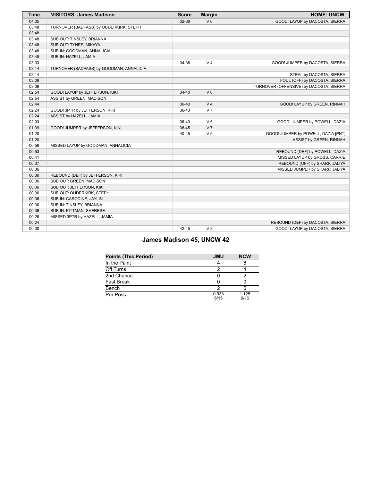| <b>Time</b> | <b>VISITORS: James Madison</b>           | <b>Score</b> | <b>Margin</b>  | <b>HOME: UNCW</b>                       |
|-------------|------------------------------------------|--------------|----------------|-----------------------------------------|
| 04:05       |                                          | 32-38        | V <sub>6</sub> | GOOD! LAYUP by DACOSTA, SIERRA          |
| 03:48       | TURNOVER (BADPASS) by OUDERKIRK, STEPH   |              |                |                                         |
| 03:48       |                                          |              |                |                                         |
| 03:48       | SUB OUT: TINSLEY, BRIANNA                |              |                |                                         |
| 03:48       | SUB OUT: TYNES, MIKAYA                   |              |                |                                         |
| 03:48       | SUB IN: GOODMAN, ANNALICIA               |              |                |                                         |
| 03:48       | SUB IN: HAZELL, JAMIA                    |              |                |                                         |
| 03:33       |                                          | 34-38        | V <sub>4</sub> | GOOD! JUMPER by DACOSTA, SIERRA         |
| 03:14       | TURNOVER (BADPASS) by GOODMAN, ANNALICIA |              |                |                                         |
| 03:14       |                                          |              |                | STEAL by DACOSTA, SIERRA                |
| 03:09       |                                          |              |                | FOUL (OFF) by DACOSTA, SIERRA           |
| 03:09       |                                          |              |                | TURNOVER (OFFENSIVE) by DACOSTA, SIERRA |
| 02:54       | GOOD! LAYUP by JEFFERSON, KIKI           | $34 - 40$    | V <sub>6</sub> |                                         |
| 02:54       | ASSIST by GREEN, MADISON                 |              |                |                                         |
| 02:44       |                                          | $36 - 40$    | V <sub>4</sub> | GOOD! LAYUP by GREEN, RINNAH            |
| 02:24       | GOOD! 3PTR by JEFFERSON, KIKI            | 36-43        | V <sub>7</sub> |                                         |
| 02:24       | ASSIST by HAZELL, JAMIA                  |              |                |                                         |
| 02:03       |                                          | 38-43        | V <sub>5</sub> | GOOD! JUMPER by POWELL, DAZIA           |
| 01:39       | GOOD! JUMPER by JEFFERSON, KIKI          | 38-45        | V <sub>7</sub> |                                         |
| 01:20       |                                          | 40-45        | V <sub>5</sub> | GOOD! JUMPER by POWELL, DAZIA [PNT]     |
| 01:20       |                                          |              |                | ASSIST by GREEN, RINNAH                 |
| 00:56       | MISSED LAYUP by GOODMAN, ANNALICIA       |              |                |                                         |
| 00:53       |                                          |              |                | REBOUND (DEF) by POWELL, DAZIA          |
| 00:41       |                                          |              |                | MISSED LAYUP by GROSS, CARRIE           |
| 00:37       |                                          |              |                | REBOUND (OFF) by SHARP, JALIYA          |
| 00:36       |                                          |              |                | MISSED JUMPER by SHARP, JALIYA          |
| 00:36       | REBOUND (DEF) by JEFFERSON, KIKI         |              |                |                                         |
| 00:36       | SUB OUT: GREEN, MADISON                  |              |                |                                         |
| 00:36       | SUB OUT: JEFFERSON, KIKI                 |              |                |                                         |
| 00:36       | SUB OUT: OUDERKIRK, STEPH                |              |                |                                         |
| 00:36       | SUB IN: CARODINE, JAYLIN                 |              |                |                                         |
| 00:36       | SUB IN: TINSLEY, BRIANNA                 |              |                |                                         |
| 00:36       | SUB IN: PITTMAN, SHERESE                 |              |                |                                         |
| 00:26       | MISSED 3PTR by HAZELL, JAMIA             |              |                |                                         |
| 00:24       |                                          |              |                | REBOUND (DEF) by DACOSTA, SIERRA        |
| 00:00       |                                          | 42-45        | $V_3$          | GOOD! LAYUP by DACOSTA, SIERRA          |

# **James Madison 45, UNCW 42**

| <b>Points (This Period)</b> | <b>JMU</b>    | <b>NCW</b>    |
|-----------------------------|---------------|---------------|
| In the Paint                |               |               |
| Off Turns                   |               |               |
| 2nd Chance                  |               |               |
| <b>Fast Break</b>           |               |               |
| Bench                       |               |               |
| Per Poss                    | 0.933<br>6/15 | 1.125<br>9/16 |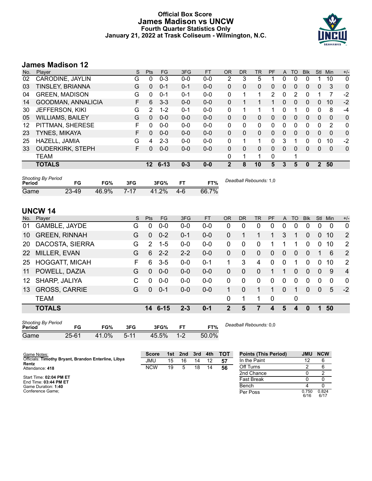# **Official Box Score James Madison vs UNCW Fourth Quarter Statistics Only January 21, 2022 at Trask Coliseum - Wilmington, N.C.**



# **James Madison 12**

| No. | Player                  | S  | Pts | <b>FG</b> | 3FG     | <b>FT</b> | <b>OR</b>   | <b>DR</b> | TR | PF       | A        | TO | <b>Blk</b> | Stl      | <b>Min</b> | $+/-$ |
|-----|-------------------------|----|-----|-----------|---------|-----------|-------------|-----------|----|----------|----------|----|------------|----------|------------|-------|
| 02  | CARODINE, JAYLIN        | G  | 0   | $0 - 3$   | $0 - 0$ | $0-0$     | 2           | 3         | 5  |          | 0        | 0  | 0          |          | 10         | 0     |
| 03  | <b>TINSLEY, BRIANNA</b> | G  | 0   | $0 - 1$   | $0 - 1$ | $0 - 0$   | 0           | 0         | 0  | 0        | $\Omega$ | 0  | 0          | $\Omega$ | 3          | 0     |
| 04  | <b>GREEN, MADISON</b>   | G  | 0   | $0 - 1$   | $0 - 1$ | $0-0$     | $\Omega$    |           | 1  | 2        | 0        | 2  | 0          |          | 7          | $-2$  |
| 14  | GOODMAN, ANNALICIA      | F. | 6   | $3 - 3$   | $0 - 0$ | $0 - 0$   | $\Omega$    |           |    | 1        | $\Omega$ | 0  | 0          | 0        | 10         | $-2$  |
| 30  | <b>JEFFERSON, KIKI</b>  | G  | 2   | $1 - 2$   | $0 - 1$ | $0 - 0$   | 0           |           |    |          | 0        |    | 0          | $\Omega$ | 8          | $-4$  |
| 05  | <b>WILLIAMS, BAILEY</b> | G  | 0   | $0 - 0$   | $0 - 0$ | $0 - 0$   | $\Omega$    | 0         | 0  | 0        | 0        | 0  | 0          | $\Omega$ | $\Omega$   | 0     |
| 12  | PITTMAN, SHERESE        | F  | 0   | $0 - 0$   | $0 - 0$ | $0-0$     | $\Omega$    | 0         | 0  | 0        | 0        | 0  | 0          | 0        | 2          | 0     |
| 23  | <b>TYNES, MIKAYA</b>    | F. | 0   | $0 - 0$   | $0 - 0$ | $0 - 0$   | $\Omega$    | 0         | 0  | $\Omega$ | 0        | 0  | 0          | $\Omega$ | $\Omega$   | 0     |
| 25  | HAZELL, JAMIA           | G  | 4   | $2 - 3$   | $0 - 0$ | $0 - 0$   | 0           |           | 1  | 0        | 3        |    | 0          | 0        | 10         | $-2$  |
| 33  | <b>OUDERKIRK, STEPH</b> | F. | 0   | $0 - 0$   | $0 - 0$ | $0 - 0$   | $\Omega$    | 0         | 0  | 0        | 0        | 0  | 0          | 0        | $\Omega$   | 0     |
|     | <b>TEAM</b>             |    |     |           |         |           | 0           | 1         |    | 0        |          |    |            |          |            |       |
|     | <b>TOTALS</b>           |    | 12  | $6 - 13$  | $0 - 3$ | $0 - 0$   | $\mathbf 2$ | 8         | 10 | 5        | 3        | 5  | 0          | 2        | 50         |       |
|     |                         |    |     |           |         |           |             |           |    |          |          |    |            |          |            |       |

| <b>Shooting By Period</b><br>Period | FG    | FG%   | 3FG      | 3FG%  |      | FT%   | Deadball Rebounds: 1,0 |
|-------------------------------------|-------|-------|----------|-------|------|-------|------------------------|
| Game                                | 23-49 | 46.9% | $7 - 17$ | 41.2% | -4-6 | 66.7% |                        |

# **UNCW 14**

| No. | Player                | S  | Pts           | FG.      | 3FG     | <b>FT</b> | <b>OR</b>      | <b>DR</b> | <b>TR</b>    | PF          | A        | TO       | <b>Blk</b> | <b>Stl</b>     | Min      | $+/-$          |
|-----|-----------------------|----|---------------|----------|---------|-----------|----------------|-----------|--------------|-------------|----------|----------|------------|----------------|----------|----------------|
| 01  | GAMBLE, JAYDE         | G  | 0             | $0 - 0$  | $0 - 0$ | $0 - 0$   | 0              | 0         | 0            | 0           | 0        | $\Omega$ | 0          | 0              | 0        | 0              |
| 10  | <b>GREEN, RINNAH</b>  | G  | 0             | $0 - 2$  | $0 - 1$ | $0-0$     | 0              |           |              |             | 3        |          | 0          | $\overline{0}$ | 10       | 2              |
| 20  | DACOSTA, SIERRA       | G  | $\mathcal{P}$ | $1 - 5$  | $0 - 0$ | $0 - 0$   | 0              | 0         | $\Omega$     |             |          |          | 0          | 0              | 10       | $\overline{2}$ |
| 22  | MILLER, EVAN          | G  | 6             | $2 - 2$  | $2 - 2$ | $0-0$     | 0              | 0         | $\mathbf{0}$ | $\Omega$    | 0        | $\Omega$ | 0          |                | 6        | 2              |
| 25  | <b>HOGGATT, MICAH</b> | F. | 6             | $3-5$    | $0 - 0$ | $0 - 1$   |                | 3         | 4            | 0           | $\Omega$ |          | 0          | 0              | 10       | 2              |
| 11  | POWELL, DAZIA         | G  | $\Omega$      | $0 - 0$  | $0 - 0$ | $0-0$     | 0              | $\Omega$  | $\Omega$     |             |          | 0        | $\Omega$   | $\Omega$       | 9        | $\overline{4}$ |
| 12  | SHARP, JALIYA         | C  | $\Omega$      | $0 - 0$  | $0-0$   | $0-0$     | 0              | $\Omega$  | $\Omega$     | $\Omega$    | $\Omega$ | $\Omega$ | 0          | 0              | $\Omega$ | $\Omega$       |
| 13  | <b>GROSS, CARRIE</b>  | G  | $\Omega$      | $0 - 1$  | $0 - 0$ | $0-0$     | 1.             | $\Omega$  |              | 1           | $\Omega$ |          | 0          | $\Omega$       | 5        | $-2$           |
|     | <b>TEAM</b>           |    |               |          |         |           | $\Omega$       |           |              | $\mathbf 0$ |          | 0        |            |                |          |                |
|     | <b>TOTALS</b>         |    | 14            | $6 - 15$ | $2 - 3$ | $0 - 1$   | $\overline{2}$ | 5         | 7            | 4           | 5        | 4        | 0          | 1              | 50       |                |

| <b>Shooting By Period</b><br>Period | FG    | FG%   | 3FG      | 3FG%  |         | FT%   |
|-------------------------------------|-------|-------|----------|-------|---------|-------|
| Game                                | 25-61 | 41.0% | $5 - 11$ | 45.5% | $1 - 2$ | 50.0% |

*Deadball Rebounds:* 0,0

| Game Notes:                                                  | <b>Score</b> | 1st l | 2nd | 3rd | 4th | тот | <b>Points (This Period)</b> | JMU           | <b>NCW</b>    |
|--------------------------------------------------------------|--------------|-------|-----|-----|-----|-----|-----------------------------|---------------|---------------|
| Officials: Timothy Bryant, Brandon Enterline, Libya<br>Rentz | JMU          | 15    | 16  | 14  | 12  | 57  | In the Paint                |               | 6             |
| Attendance: 418                                              | <b>NCW</b>   | 19    |     | 18  | 14  | 56  | Off Turns                   |               | 6             |
|                                                              |              |       |     |     |     |     | 2nd Chance                  |               |               |
| Start Time: 02:04 PM ET<br>End Time: 03:44 PM ET             |              |       |     |     |     |     | <b>Fast Break</b>           |               |               |
| Game Duration: 1:40                                          |              |       |     |     |     |     | Bench                       |               |               |
| Conference Game:                                             |              |       |     |     |     |     | Per Poss                    | 0.750<br>6/16 | 0.824<br>6/17 |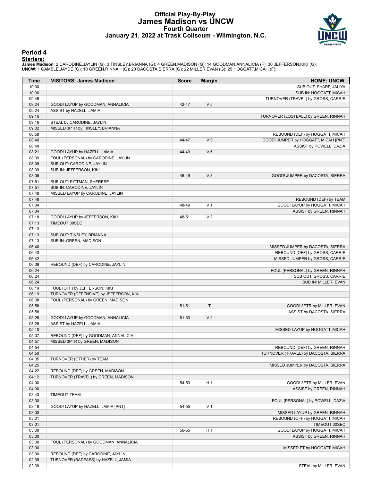# **Official Play-By-Play James Madison vs UNCW Fourth Quarter January 21, 2022 at Trask Coliseum - Wilmington, N.C.**



### **Period 4**

<mark>Startersː</mark><br>James Madison: 2 CARODINE,JAYLIN (G); 3 TINSLEY,BRIANNA (G); 4 GREEN,MADISON (G); 14 GOODMAN,ANNALICIA (F); 30 JEFFERSON,KIKI (G);<br>**UNCW**: 1 GAMBLE,JAYDE (G); 10 GREEN,RINNAH (G); 20 DACOSTA,SIERRA (G); 22 MILL

| Time           | <b>VISITORS: James Madison</b>          | <b>Score</b> | <b>Margin</b>  | <b>HOME: UNCW</b>                    |
|----------------|-----------------------------------------|--------------|----------------|--------------------------------------|
| 10:00          |                                         |              |                | SUB OUT: SHARP, JALIYA               |
| 10:00          |                                         |              |                | SUB IN: HOGGATT, MICAH               |
| 09:46          |                                         |              |                | TURNOVER (TRAVEL) by GROSS, CARRIE   |
| 09:24          | GOOD! LAYUP by GOODMAN, ANNALICIA       | 42-47        | V <sub>5</sub> |                                      |
| 09:24          | ASSIST by HAZELL, JAMIA                 |              |                |                                      |
| 09:16          |                                         |              |                | TURNOVER (LOSTBALL) by GREEN, RINNAH |
| 09:16          | STEAL by CARODINE, JAYLIN               |              |                |                                      |
| 09:02          | MISSED 3PTR by TINSLEY, BRIANNA         |              |                |                                      |
| 08:58          |                                         |              |                | REBOUND (DEF) by HOGGATT, MICAH      |
| 08:40          |                                         | 44-47        | V <sub>3</sub> | GOOD! JUMPER by HOGGATT, MICAH [PNT] |
| 08:40          |                                         |              |                | ASSIST by POWELL, DAZIA              |
| 08:21          | GOOD! LAYUP by HAZELL, JAMIA            | 44-49        | V <sub>5</sub> |                                      |
| 08:09          | FOUL (PERSONAL) by CARODINE, JAYLIN     |              |                |                                      |
| 08:09          | SUB OUT: CARODINE, JAYLIN               |              |                |                                      |
| 08:09          | SUB IN: JEFFERSON, KIKI                 |              |                |                                      |
| 08:05          |                                         | 46-49        | V <sub>3</sub> | GOOD! JUMPER by DACOSTA, SIERRA      |
| 07:51          | SUB OUT: PITTMAN, SHERESE               |              |                |                                      |
| 07:51          | SUB IN: CARODINE, JAYLIN                |              |                |                                      |
| 07:48          | MISSED LAYUP by CARODINE, JAYLIN        |              |                |                                      |
| 07:48          |                                         |              |                | REBOUND (DEF) by TEAM                |
| 07:34          |                                         | 48-49        | V <sub>1</sub> | GOOD! LAYUP by HOGGATT, MICAH        |
| 07:34          |                                         |              |                | ASSIST by GREEN, RINNAH              |
| 07:18          | GOOD! LAYUP by JEFFERSON, KIKI          | 48-51        | $V_3$          |                                      |
| 07:13          | TIMEOUT 30SEC                           |              |                |                                      |
| 07:13          |                                         |              |                |                                      |
| 07:13          | SUB OUT: TINSLEY, BRIANNA               |              |                |                                      |
| 07:13          | SUB IN: GREEN, MADISON                  |              |                |                                      |
| 06:46          |                                         |              |                | MISSED JUMPER by DACOSTA, SIERRA     |
| 06:43          |                                         |              |                | REBOUND (OFF) by GROSS, CARRIE       |
| 06:42          |                                         |              |                | MISSED JUMPER by GROSS, CARRIE       |
| 06:39          | REBOUND (DEF) by CARODINE, JAYLIN       |              |                |                                      |
| 06:24          |                                         |              |                | FOUL (PERSONAL) by GREEN, RINNAH     |
| 06:24          |                                         |              |                | SUB OUT: GROSS, CARRIE               |
| 06:24          |                                         |              |                | SUB IN: MILLER, EVAN                 |
| 06:19          | FOUL (OFF) by JEFFERSON, KIKI           |              |                |                                      |
| 06:19          | TURNOVER (OFFENSIVE) by JEFFERSON, KIKI |              |                |                                      |
| 06:08<br>05:58 | FOUL (PERSONAL) by GREEN, MADISON       |              | T.             |                                      |
| 05:58          |                                         | $51 - 51$    |                | GOOD! 3PTR by MILLER, EVAN           |
| 05:28          | GOOD! LAYUP by GOODMAN, ANNALICIA       | 51-53        | V <sub>2</sub> | ASSIST by DACOSTA, SIERRA            |
| 05:28          | ASSIST by HAZELL, JAMIA                 |              |                |                                      |
| 05:10          |                                         |              |                | MISSED LAYUP by HOGGATT, MICAH       |
| 05:07          | REBOUND (DEF) by GOODMAN, ANNALICIA     |              |                |                                      |
| 04:57          | MISSED 3PTR by GREEN, MADISON           |              |                |                                      |
| 04:54          |                                         |              |                | REBOUND (DEF) by GREEN, RINNAH       |
| 04:50          |                                         |              |                | TURNOVER (TRAVEL) by DACOSTA, SIERRA |
| 04:35          | TURNOVER (OTHER) by TEAM                |              |                |                                      |
| 04:25          |                                         |              |                | MISSED JUMPER by DACOSTA, SIERRA     |
| 04:22          | REBOUND (DEF) by GREEN, MADISON         |              |                |                                      |
| 04:12          | TURNOVER (TRAVEL) by GREEN, MADISON     |              |                |                                      |
| 04:00          |                                         | 54-53        | H <sub>1</sub> | GOOD! 3PTR by MILLER, EVAN           |
| 04:00          |                                         |              |                | ASSIST by GREEN, RINNAH              |
| 03:43          | <b>TIMEOUT TEAM</b>                     |              |                |                                      |
| 03:30          |                                         |              |                | FOUL (PERSONAL) by POWELL, DAZIA     |
| 03:18          | GOOD! LAYUP by HAZELL, JAMIA [PNT]      | 54-55        | V <sub>1</sub> |                                      |
| 03:03          |                                         |              |                | MISSED LAYUP by GREEN, RINNAH        |
| 03:01          |                                         |              |                | REBOUND (OFF) by HOGGATT, MICAH      |
| 03:01          |                                         |              |                | TIMEOUT 30SEC                        |
| 03:00          |                                         | 56-55        | H <sub>1</sub> | GOOD! LAYUP by HOGGATT, MICAH        |
| 03:00          |                                         |              |                | ASSIST by GREEN, RINNAH              |
| 03:00          | FOUL (PERSONAL) by GOODMAN, ANNALICIA   |              |                |                                      |
| 03:00          |                                         |              |                | MISSED FT by HOGGATT, MICAH          |
| 03:00          | REBOUND (DEF) by CARODINE, JAYLIN       |              |                |                                      |
| 02:39          | TURNOVER (BADPASS) by HAZELL, JAMIA     |              |                |                                      |
| 02:39          |                                         |              |                | STEAL by MILLER, EVAN                |
|                |                                         |              |                |                                      |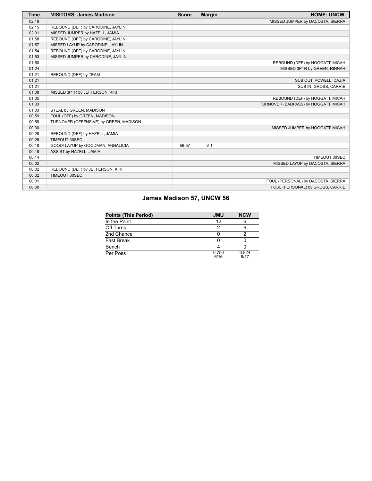| <b>Time</b> | <b>VISITORS: James Madison</b>         | <b>Score</b> | <b>Margin</b>  | <b>HOME: UNCW</b>                    |
|-------------|----------------------------------------|--------------|----------------|--------------------------------------|
| 02:19       |                                        |              |                | MISSED JUMPER by DACOSTA, SIERRA     |
| 02:15       | REBOUND (DEF) by CARODINE, JAYLIN      |              |                |                                      |
| 02:01       | MISSED JUMPER by HAZELL, JAMIA         |              |                |                                      |
| 01:58       | REBOUND (OFF) by CARODINE, JAYLIN      |              |                |                                      |
| 01:57       | MISSED LAYUP by CARODINE, JAYLIN       |              |                |                                      |
| 01:54       | REBOUND (OFF) by CARODINE, JAYLIN      |              |                |                                      |
| 01:53       | MISSED JUMPER by CARODINE, JAYLIN      |              |                |                                      |
| 01:50       |                                        |              |                | REBOUND (DEF) by HOGGATT, MICAH      |
| 01:24       |                                        |              |                | MISSED 3PTR by GREEN, RINNAH         |
| 01:21       | REBOUND (DEF) by TEAM                  |              |                |                                      |
| 01:21       |                                        |              |                | SUB OUT: POWELL, DAZIA               |
| 01:21       |                                        |              |                | SUB IN: GROSS, CARRIE                |
| 01:08       | MISSED 3PTR by JEFFERSON, KIKI         |              |                |                                      |
| 01:05       |                                        |              |                | REBOUND (DEF) by HOGGATT, MICAH      |
| 01:03       |                                        |              |                | TURNOVER (BADPASS) by HOGGATT, MICAH |
| 01:03       | STEAL by GREEN, MADISON                |              |                |                                      |
| 00:59       | FOUL (OFF) by GREEN, MADISON           |              |                |                                      |
| 00:59       | TURNOVER (OFFENSIVE) by GREEN, MADISON |              |                |                                      |
| 00:30       |                                        |              |                | MISSED JUMPER by HOGGATT, MICAH      |
| 00:28       | REBOUND (DEF) by HAZELL, JAMIA         |              |                |                                      |
| 00:28       | TIMEOUT 30SEC                          |              |                |                                      |
| 00:18       | GOOD! LAYUP by GOODMAN, ANNALICIA      | 56-57        | V <sub>1</sub> |                                      |
| 00:18       | ASSIST by HAZELL, JAMIA                |              |                |                                      |
| 00:14       |                                        |              |                | TIMEOUT 30SEC                        |
| 00:02       |                                        |              |                | MISSED LAYUP by DACOSTA, SIERRA      |
| 00:02       | REBOUND (DEF) by JEFFERSON, KIKI       |              |                |                                      |
| 00:02       | TIMEOUT 30SEC                          |              |                |                                      |
| 00:01       |                                        |              |                | FOUL (PERSONAL) by DACOSTA, SIERRA   |
| 00:00       |                                        |              |                | FOUL (PERSONAL) by GROSS, CARRIE     |

# **James Madison 57, UNCW 56**

| <b>Points (This Period)</b> | <b>JMU</b>    | <b>NCW</b>    |
|-----------------------------|---------------|---------------|
| In the Paint                | 12            |               |
| Off Turns                   | רי            |               |
| 2nd Chance                  |               |               |
| Fast Break                  |               |               |
| Bench                       |               |               |
| Per Poss                    | 0.750<br>6/16 | 0.824<br>6/17 |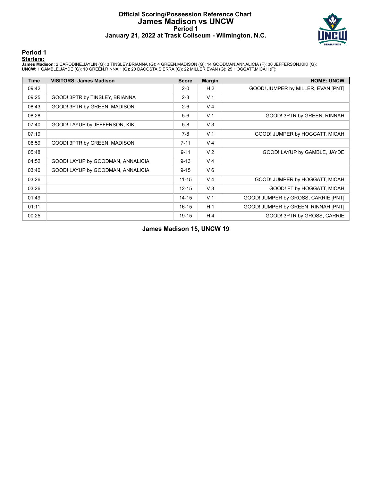# **Official Scoring/Possession Reference Chart James Madison vs UNCW Period 1 January 21, 2022 at Trask Coliseum - Wilmington, N.C.**



# **Period 1**

### **Starters:**

**James Madison**: 2 CARODINE,JAYLIN (G); 3 TINSLEY,BRIANNA (G); 4 GREEN,MADISON (G); 14 GOODMAN,ANNALICIA (F); 30 JEFFERSON,KIKI (G);<br>**UNCW**: 1 GAMBLE,JAYDE (G); 10 GREEN,RINNAH (G); 20 DACOSTA,SIERRA (G); 22 MILLER,EVAN (G

| <b>Time</b> | <b>VISITORS: James Madison</b>    | <b>Score</b> | <b>Margin</b>  | <b>HOME: UNCW</b>                   |
|-------------|-----------------------------------|--------------|----------------|-------------------------------------|
| 09:42       |                                   | $2 - 0$      | H <sub>2</sub> | GOOD! JUMPER by MILLER, EVAN [PNT]  |
| 09:25       | GOOD! 3PTR by TINSLEY, BRIANNA    | $2 - 3$      | V <sub>1</sub> |                                     |
| 08:43       | GOOD! 3PTR by GREEN, MADISON      | $2 - 6$      | V <sub>4</sub> |                                     |
| 08:28       |                                   | $5-6$        | V <sub>1</sub> | GOOD! 3PTR by GREEN, RINNAH         |
| 07:40       | GOOD! LAYUP by JEFFERSON, KIKI    | $5-8$        | $V_3$          |                                     |
| 07:19       |                                   | $7-8$        | V <sub>1</sub> | GOOD! JUMPER by HOGGATT, MICAH      |
| 06:59       | GOOD! 3PTR by GREEN, MADISON      | $7 - 11$     | V <sub>4</sub> |                                     |
| 05:48       |                                   | $9 - 11$     | V <sub>2</sub> | GOOD! LAYUP by GAMBLE, JAYDE        |
| 04:52       | GOOD! LAYUP by GOODMAN, ANNALICIA | $9 - 13$     | V <sub>4</sub> |                                     |
| 03:40       | GOOD! LAYUP by GOODMAN, ANNALICIA | $9 - 15$     | $V_6$          |                                     |
| 03:26       |                                   | $11 - 15$    | V <sub>4</sub> | GOOD! JUMPER by HOGGATT, MICAH      |
| 03:26       |                                   | $12 - 15$    | $V_3$          | GOOD! FT by HOGGATT, MICAH          |
| 01:49       |                                   | $14 - 15$    | V <sub>1</sub> | GOOD! JUMPER by GROSS, CARRIE [PNT] |
| 01:11       |                                   | $16 - 15$    | H <sub>1</sub> | GOOD! JUMPER by GREEN, RINNAH [PNT] |
| 00:25       |                                   | 19-15        | H4             | GOOD! 3PTR by GROSS, CARRIE         |

**James Madison 15, UNCW 19**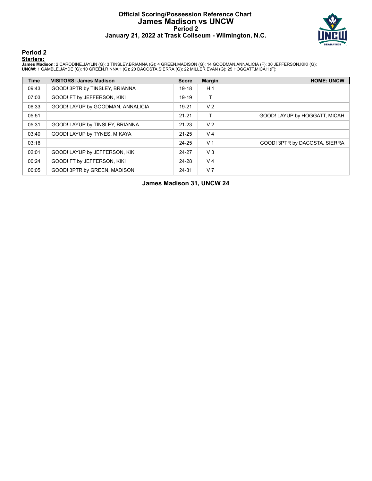# **Official Scoring/Possession Reference Chart James Madison vs UNCW Period 2 January 21, 2022 at Trask Coliseum - Wilmington, N.C.**



**Period 2**

### **Starters:**

**James Madison**: 2 CARODINE,JAYLIN (G); 3 TINSLEY,BRIANNA (G); 4 GREEN,MADISON (G); 14 GOODMAN,ANNALICIA (F); 30 JEFFERSON,KIKI (G);<br>**UNCW**: 1 GAMBLE,JAYDE (G); 10 GREEN,RINNAH (G); 20 DACOSTA,SIERRA (G); 22 MILLER,EVAN (G

| <b>Time</b> | <b>VISITORS: James Madison</b>    | <b>Score</b> | <b>Margin</b>  | <b>HOME: UNCW</b>             |
|-------------|-----------------------------------|--------------|----------------|-------------------------------|
| 09:43       | GOOD! 3PTR by TINSLEY, BRIANNA    | 19-18        | H <sub>1</sub> |                               |
| 07:03       | GOOD! FT by JEFFERSON, KIKI       | 19-19        | т              |                               |
| 06:33       | GOOD! LAYUP by GOODMAN, ANNALICIA | 19-21        | V <sub>2</sub> |                               |
| 05:51       |                                   | $21 - 21$    | т              | GOOD! LAYUP by HOGGATT, MICAH |
| 05:31       | GOOD! LAYUP by TINSLEY, BRIANNA   | $21 - 23$    | V <sub>2</sub> |                               |
| 03:40       | GOOD! LAYUP by TYNES, MIKAYA      | $21 - 25$    | V <sub>4</sub> |                               |
| 03:16       |                                   | 24-25        | V <sub>1</sub> | GOOD! 3PTR by DACOSTA, SIERRA |
| 02:01       | GOOD! LAYUP by JEFFERSON, KIKI    | 24-27        | V <sub>3</sub> |                               |
| 00:24       | GOOD! FT by JEFFERSON, KIKI       | 24-28        | V <sub>4</sub> |                               |
| 00:05       | GOOD! 3PTR by GREEN, MADISON      | 24-31        | V <sub>7</sub> |                               |

**James Madison 31, UNCW 24**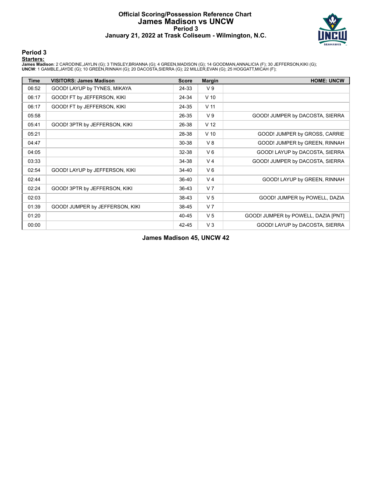# **Official Scoring/Possession Reference Chart James Madison vs UNCW Period 3 January 21, 2022 at Trask Coliseum - Wilmington, N.C.**



### **Period 3**

### **Starters:**

**James Madison**: 2 CARODINE,JAYLIN (G); 3 TINSLEY,BRIANNA (G); 4 GREEN,MADISON (G); 14 GOODMAN,ANNALICIA (F); 30 JEFFERSON,KIKI (G);<br>**UNCW**: 1 GAMBLE,JAYDE (G); 10 GREEN,RINNAH (G); 20 DACOSTA,SIERRA (G); 22 MILLER,EVAN (G

| <b>Time</b> | <b>VISITORS: James Madison</b>  | <b>Score</b> | <b>Margin</b>   | <b>HOME: UNCW</b>                   |
|-------------|---------------------------------|--------------|-----------------|-------------------------------------|
| 06:52       | GOOD! LAYUP by TYNES, MIKAYA    | 24-33        | V <sub>9</sub>  |                                     |
| 06:17       | GOOD! FT by JEFFERSON, KIKI     | 24-34        | $V$ 10          |                                     |
| 06:17       | GOOD! FT by JEFFERSON, KIKI     | 24-35        | V <sub>11</sub> |                                     |
| 05:58       |                                 | 26-35        | V <sub>9</sub>  | GOOD! JUMPER by DACOSTA, SIERRA     |
| 05:41       | GOOD! 3PTR by JEFFERSON, KIKI   | 26-38        | V <sub>12</sub> |                                     |
| 05:21       |                                 | 28-38        | $V$ 10          | GOOD! JUMPER by GROSS, CARRIE       |
| 04:47       |                                 | 30-38        | V8              | GOOD! JUMPER by GREEN, RINNAH       |
| 04:05       |                                 | 32-38        | $V_6$           | GOOD! LAYUP by DACOSTA, SIERRA      |
| 03:33       |                                 | 34-38        | V <sub>4</sub>  | GOOD! JUMPER by DACOSTA, SIERRA     |
| 02:54       | GOOD! LAYUP by JEFFERSON, KIKI  | 34-40        | $V_6$           |                                     |
| 02:44       |                                 | 36-40        | V <sub>4</sub>  | GOOD! LAYUP by GREEN, RINNAH        |
| 02:24       | GOOD! 3PTR by JEFFERSON, KIKI   | 36-43        | V <sub>7</sub>  |                                     |
| 02:03       |                                 | 38-43        | V <sub>5</sub>  | GOOD! JUMPER by POWELL, DAZIA       |
| 01:39       | GOOD! JUMPER by JEFFERSON, KIKI | 38-45        | V <sub>7</sub>  |                                     |
| 01:20       |                                 | 40-45        | V <sub>5</sub>  | GOOD! JUMPER by POWELL, DAZIA [PNT] |
| 00:00       |                                 | 42-45        | $V_3$           | GOOD! LAYUP by DACOSTA, SIERRA      |

**James Madison 45, UNCW 42**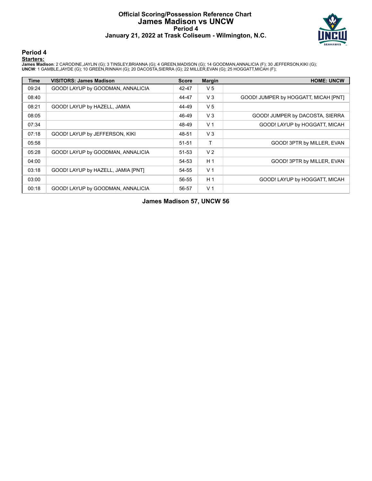### **Official Scoring/Possession Reference Chart James Madison vs UNCW Period 4 January 21, 2022 at Trask Coliseum - Wilmington, N.C.**



**Period 4**

### **Starters:**

**James Madison**: 2 CARODINE,JAYLIN (G); 3 TINSLEY,BRIANNA (G); 4 GREEN,MADISON (G); 14 GOODMAN,ANNALICIA (F); 30 JEFFERSON,KIKI (G);<br>**UNCW**: 1 GAMBLE,JAYDE (G); 10 GREEN,RINNAH (G); 20 DACOSTA,SIERRA (G); 22 MILLER,EVAN (G

| Time  | <b>VISITORS: James Madison</b>     | <b>Score</b> | <b>Margin</b>  | <b>HOME: UNCW</b>                    |
|-------|------------------------------------|--------------|----------------|--------------------------------------|
| 09:24 | GOOD! LAYUP by GOODMAN, ANNALICIA  | 42-47        | V <sub>5</sub> |                                      |
| 08:40 |                                    | 44-47        | $V_3$          | GOOD! JUMPER by HOGGATT, MICAH [PNT] |
| 08:21 | GOOD! LAYUP by HAZELL, JAMIA       | 44-49        | V <sub>5</sub> |                                      |
| 08:05 |                                    | 46-49        | $V_3$          | GOOD! JUMPER by DACOSTA, SIERRA      |
| 07:34 |                                    | 48-49        | V <sub>1</sub> | GOOD! LAYUP by HOGGATT, MICAH        |
| 07:18 | GOOD! LAYUP by JEFFERSON, KIKI     | 48-51        | $V_3$          |                                      |
| 05:58 |                                    | $51 - 51$    | T              | GOOD! 3PTR by MILLER, EVAN           |
| 05:28 | GOOD! LAYUP by GOODMAN, ANNALICIA  | 51-53        | V <sub>2</sub> |                                      |
| 04:00 |                                    | 54-53        | H <sub>1</sub> | GOOD! 3PTR by MILLER, EVAN           |
| 03:18 | GOOD! LAYUP by HAZELL, JAMIA [PNT] | 54-55        | V <sub>1</sub> |                                      |
| 03:00 |                                    | 56-55        | H <sub>1</sub> | GOOD! LAYUP by HOGGATT, MICAH        |
| 00:18 | GOOD! LAYUP by GOODMAN, ANNALICIA  | 56-57        | V <sub>1</sub> |                                      |

**James Madison 57, UNCW 56**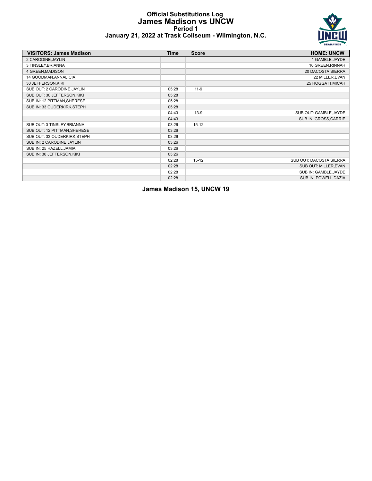### **Official Substitutions Log James Madison vs UNCW Period 1 January 21, 2022 at Trask Coliseum - Wilmington, N.C.**



| <b>VISITORS: James Madison</b> | <b>Time</b> | <b>Score</b> | <b>HOME: UNCW</b>        |
|--------------------------------|-------------|--------------|--------------------------|
| 2 CARODINE, JAYLIN             |             |              | 1 GAMBLE, JAYDE          |
| 3 TINSLEY, BRIANNA             |             |              | 10 GREEN, RINNAH         |
| 4 GREEN, MADISON               |             |              | 20 DACOSTA, SIERRA       |
| 14 GOODMAN, ANNALICIA          |             |              | 22 MILLER, EVAN          |
| 30 JEFFERSON, KIKI             |             |              | 25 HOGGATT, MICAH        |
| SUB OUT: 2 CARODINE, JAYLIN    | 05:28       | $11-9$       |                          |
| SUB OUT: 30 JEFFERSON, KIKI    | 05:28       |              |                          |
| SUB IN: 12 PITTMAN, SHERESE    | 05:28       |              |                          |
| SUB IN: 33 OUDERKIRK, STEPH    | 05:28       |              |                          |
|                                | 04:43       | $13-9$       | SUB OUT: GAMBLE, JAYDE   |
|                                | 04:43       |              | SUB IN: GROSS, CARRIE    |
| SUB OUT: 3 TINSLEY, BRIANNA    | 03:26       | $15-12$      |                          |
| SUB OUT: 12 PITTMAN, SHERESE   | 03:26       |              |                          |
| SUB OUT: 33 OUDERKIRK, STEPH   | 03:26       |              |                          |
| SUB IN: 2 CARODINE, JAYLIN     | 03:26       |              |                          |
| SUB IN: 25 HAZELL, JAMIA       | 03:26       |              |                          |
| SUB IN: 30 JEFFERSON, KIKI     | 03:26       |              |                          |
|                                | 02:28       | $15-12$      | SUB OUT: DACOSTA, SIERRA |
|                                | 02:28       |              | SUB OUT: MILLER, EVAN    |
|                                | 02:28       |              | SUB IN: GAMBLE, JAYDE    |
|                                | 02:28       |              | SUB IN: POWELL, DAZIA    |

**James Madison 15, UNCW 19**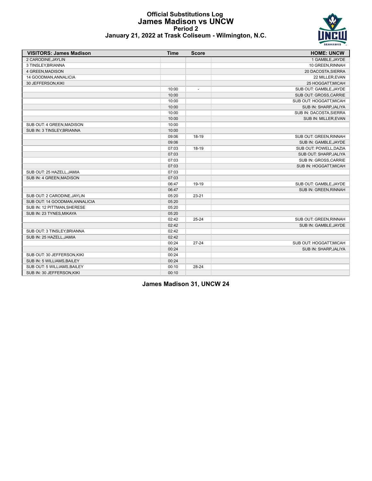### **Official Substitutions Log James Madison vs UNCW Period 2 January 21, 2022 at Trask Coliseum - Wilmington, N.C.**



| <b>VISITORS: James Madison</b> | <b>Time</b> | <b>Score</b> | <b>HOME: UNCW</b>       |
|--------------------------------|-------------|--------------|-------------------------|
| 2 CARODINE, JAYLIN             |             |              | 1 GAMBLE, JAYDE         |
| 3 TINSLEY, BRIANNA             |             |              | 10 GREEN, RINNAH        |
| 4 GREEN, MADISON               |             |              | 20 DACOSTA, SIERRA      |
| 14 GOODMAN, ANNALICIA          |             |              | 22 MILLER, EVAN         |
| 30 JEFFERSON, KIKI             |             |              | 25 HOGGATT, MICAH       |
|                                | 10:00       |              | SUB OUT: GAMBLE, JAYDE  |
|                                | 10:00       |              | SUB OUT: GROSS, CARRIE  |
|                                | 10:00       |              | SUB OUT: HOGGATT, MICAH |
|                                | 10:00       |              | SUB IN: SHARP, JALIYA   |
|                                | 10:00       |              | SUB IN: DACOSTA, SIERRA |
|                                | 10:00       |              | SUB IN: MILLER, EVAN    |
| SUB OUT: 4 GREEN, MADISON      | 10:00       |              |                         |
| SUB IN: 3 TINSLEY, BRIANNA     | 10:00       |              |                         |
|                                | 09:06       | 18-19        | SUB OUT: GREEN, RINNAH  |
|                                | 09:06       |              | SUB IN: GAMBLE, JAYDE   |
|                                | 07:03       | 18-19        | SUB OUT: POWELL, DAZIA  |
|                                | 07:03       |              | SUB OUT: SHARP, JALIYA  |
|                                | 07:03       |              | SUB IN: GROSS, CARRIE   |
|                                | 07:03       |              | SUB IN: HOGGATT, MICAH  |
| SUB OUT: 25 HAZELL, JAMIA      | 07:03       |              |                         |
| SUB IN: 4 GREEN, MADISON       | 07:03       |              |                         |
|                                | 06:47       | 19-19        | SUB OUT: GAMBLE.JAYDE   |
|                                | 06:47       |              | SUB IN: GREEN, RINNAH   |
| SUB OUT: 2 CARODINE, JAYLIN    | 05:20       | $23 - 21$    |                         |
| SUB OUT: 14 GOODMAN.ANNALICIA  | 05:20       |              |                         |
| SUB IN: 12 PITTMAN, SHERESE    | 05:20       |              |                         |
| SUB IN: 23 TYNES, MIKAYA       | 05:20       |              |                         |
|                                | 02:42       | $25 - 24$    | SUB OUT: GREEN, RINNAH  |
|                                | 02:42       |              | SUB IN: GAMBLE, JAYDE   |
| SUB OUT: 3 TINSLEY, BRIANNA    | 02:42       |              |                         |
| SUB IN: 25 HAZELL, JAMIA       | 02:42       |              |                         |
|                                | 00:24       | $27 - 24$    | SUB OUT: HOGGATT, MICAH |
|                                | 00:24       |              | SUB IN: SHARP, JALIYA   |
| SUB OUT: 30 JEFFERSON, KIKI    | 00:24       |              |                         |
| SUB IN: 5 WILLIAMS, BAILEY     | 00:24       |              |                         |
| SUB OUT: 5 WILLIAMS, BAILEY    | 00:10       | 28-24        |                         |

**James Madison 31, UNCW 24**

SUB IN: 30 JEFFERSON, KIKI 00:10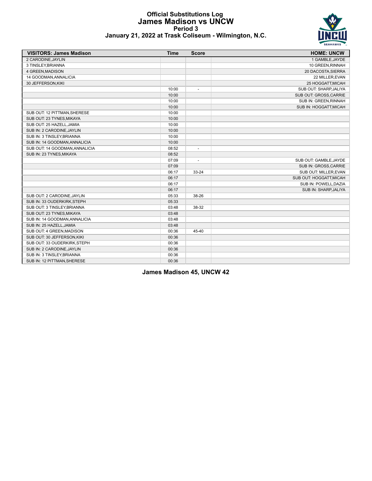### **Official Substitutions Log James Madison vs UNCW Period 3 January 21, 2022 at Trask Coliseum - Wilmington, N.C.**



| <b>VISITORS: James Madison</b> | <b>Time</b> | <b>Score</b>             | <b>HOME: UNCW</b>       |
|--------------------------------|-------------|--------------------------|-------------------------|
| 2 CARODINE, JAYLIN             |             |                          | 1 GAMBLE, JAYDE         |
| 3 TINSLEY, BRIANNA             |             |                          | 10 GREEN, RINNAH        |
| 4 GREEN, MADISON               |             |                          | 20 DACOSTA, SIERRA      |
| 14 GOODMAN, ANNALICIA          |             |                          | 22 MILLER, EVAN         |
| 30 JEFFERSON, KIKI             |             |                          | 25 HOGGATT, MICAH       |
|                                | 10:00       | $\overline{\phantom{a}}$ | SUB OUT: SHARP, JALIYA  |
|                                | 10:00       |                          | SUB OUT: GROSS, CARRIE  |
|                                | 10:00       |                          | SUB IN: GREEN, RINNAH   |
|                                | 10:00       |                          | SUB IN: HOGGATT, MICAH  |
| SUB OUT: 12 PITTMAN, SHERESE   | 10:00       |                          |                         |
| SUB OUT: 23 TYNES, MIKAYA      | 10:00       |                          |                         |
| SUB OUT: 25 HAZELL.JAMIA       | 10:00       |                          |                         |
| SUB IN: 2 CARODINE, JAYLIN     | 10:00       |                          |                         |
| SUB IN: 3 TINSLEY, BRIANNA     | 10:00       |                          |                         |
| SUB IN: 14 GOODMAN, ANNALICIA  | 10:00       |                          |                         |
| SUB OUT: 14 GOODMAN, ANNALICIA | 08:52       | $\overline{a}$           |                         |
| SUB IN: 23 TYNES, MIKAYA       | 08:52       |                          |                         |
|                                | 07:09       | $\overline{a}$           | SUB OUT: GAMBLE, JAYDE  |
|                                | 07:09       |                          | SUB IN: GROSS, CARRIE   |
|                                | 06:17       | 33-24                    | SUB OUT: MILLER, EVAN   |
|                                | 06:17       |                          | SUB OUT: HOGGATT, MICAH |
|                                | 06:17       |                          | SUB IN: POWELL, DAZIA   |
|                                | 06:17       |                          | SUB IN: SHARP, JALIYA   |
| SUB OUT: 2 CARODINE, JAYLIN    | 05:33       | 38-26                    |                         |
| SUB IN: 33 OUDERKIRK, STEPH    | 05:33       |                          |                         |
| SUB OUT: 3 TINSLEY, BRIANNA    | 03:48       | 38-32                    |                         |
| SUB OUT: 23 TYNES, MIKAYA      | 03:48       |                          |                         |
| SUB IN: 14 GOODMAN, ANNALICIA  | 03:48       |                          |                         |
| SUB IN: 25 HAZELL, JAMIA       | 03:48       |                          |                         |
| SUB OUT: 4 GREEN, MADISON      | 00:36       | 45-40                    |                         |
| SUB OUT: 30 JEFFERSON, KIKI    | 00:36       |                          |                         |
| SUB OUT: 33 OUDERKIRK, STEPH   | 00:36       |                          |                         |
| SUB IN: 2 CARODINE, JAYLIN     | 00:36       |                          |                         |
| SUB IN: 3 TINSLEY, BRIANNA     | 00:36       |                          |                         |
| SUB IN: 12 PITTMAN, SHERESE    | 00:36       |                          |                         |

**James Madison 45, UNCW 42**